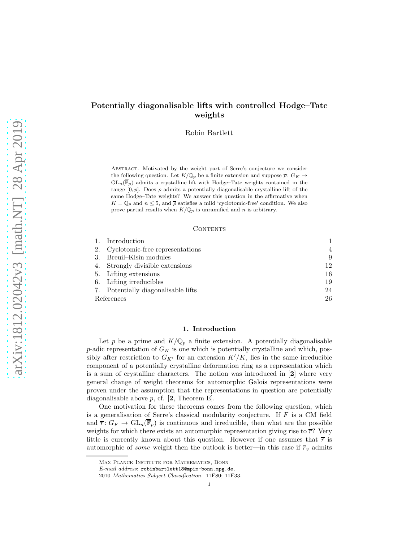# Potentially diagonalisable lifts with controlled Hodge–Tate weights

Robin Bartlett

Abstract. Motivated by the weight part of Serre's conjecture we consider the following question. Let  $K/{\mathbb Q}_p$  be a finite extension and suppose  $\overline{\rho}\colon G_K\to$  $GL_n(\overline{\mathbb{F}}_p)$  admits a crystalline lift with Hodge–Tate weights contained in the range [0, p]. Does  $\bar{\rho}$  admits a potentially diagonalisable crystalline lift of the same Hodge–Tate weights? We answer this question in the affirmative when  $K = \mathbb{Q}_p$  and  $n \leq 5$ , and  $\overline{\rho}$  satisfies a mild 'cyclotomic-free' condition. We also prove partial results when  $K/\mathbb{Q}_p$  is unramified and n is arbitrary.

#### **CONTENTS**

|            | Introduction                        |                |
|------------|-------------------------------------|----------------|
| 2.         | Cyclotomic-free representations     | $\overline{4}$ |
| 3.         | Breuil-Kisin modules                | 9              |
|            | 4. Strongly divisible extensions    | 12             |
|            | 5. Lifting extensions               | 16             |
|            | 6. Lifting irreducibles             | 19             |
|            | 7. Potentially diagonalisable lifts | 24             |
| References |                                     | 26             |

### 1. Introduction

<span id="page-0-0"></span>Let p be a prime and  $K/\mathbb{Q}_p$  a finite extension. A potentially diagonalisable  $p$ -adic representation of  $G_K$  is one which is potentially crystalline and which, possibly after restriction to  $G_{K'}$  for an extension  $K'/K$ , lies in the same irreducible component of a potentially crystalline deformation ring as a representation which is a sum of crystalline characters. The notion was introduced in [[2](#page-25-1)] where very general change of weight theorems for automorphic Galois representations were proven under the assumption that the representations in question are potentially diagonalisable above  $p$ , cf.  $[2,$  $[2,$  $[2,$  Theorem E.

One motivation for these theorems comes from the following question, which is a generalisation of Serre's classical modularity conjecture. If F is a CM field and  $\overline{r}$ :  $G_F \to GL_n(\overline{\mathbb{F}}_p)$  is continuous and irreducible, then what are the possible weights for which there exists an automorphic representation giving rise to  $\overline{r}$ ? Very little is currently known about this question. However if one assumes that  $\bar{r}$  is automorphic of *some* weight then the outlook is better—in this case if  $\overline{r}_v$  admits

Max Planck Institute for Mathematics, Bonn

E-mail address: robinbartlett18@mpim-bonn.mpg.de.

<sup>2010</sup> Mathematics Subject Classification. 11F80; 11F33.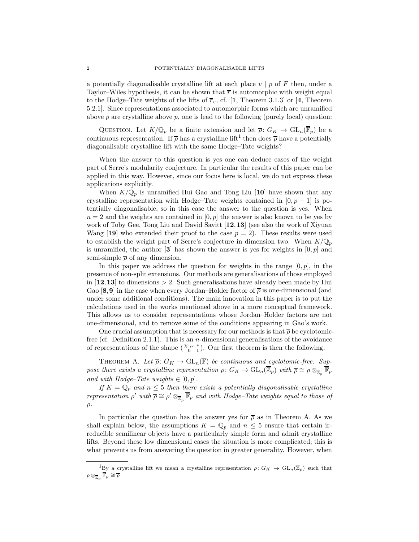a potentially diagonalisable crystalline lift at each place  $v \mid p$  of F then, under a Taylor–Wiles hypothesis, it can be shown that  $\bar{r}$  is automorphic with weight equal to the Hodge–Tate weights of the lifts of  $\overline{r}_v$ , cf. [[1](#page-25-2), Theorem 3.1.3] or [[4](#page-25-3), Theorem 5.2.1]. Since representations associated to automorphic forms which are unramified above  $p$  are crystalline above  $p$ , one is lead to the following (purely local) question:

QUESTION. Let  $K/\mathbb{Q}_p$  be a finite extension and let  $\overline{\rho}$ :  $G_K \to GL_n(\mathbb{F}_p)$  be a continuous representation. If  $\bar{\rho}$  has a crystalline lift<sup>[1](#page-1-0)</sup> then does  $\bar{\rho}$  have a potentially diagonalisable crystalline lift with the same Hodge–Tate weights?

When the answer to this question is yes one can deduce cases of the weight part of Serre's modularity conjecture. In particular the results of this paper can be applied in this way. However, since our focus here is local, we do not express these applications explicitly.

When  $K/\mathbb{Q}_p$  is unramified Hui Gao and Tong Liu [[10](#page-25-4)] have shown that any crystalline representation with Hodge–Tate weights contained in  $[0, p - 1]$  is potentially diagonalisable, so in this case the answer to the question is yes. When  $n = 2$  and the weights are contained in [0, p] the answer is also known to be yes by work of Toby Gee, Tong Liu and David Savitt [[12](#page-25-5),[13](#page-25-6)] (see also the work of Xiyuan Wang [[19](#page-25-7)] who extended their proof to the case  $p = 2$ . These results were used to establish the weight part of Serre's conjecture in dimension two. When  $K/\mathbb{Q}_p$ is unramified, the author  $\mathbf{3}$  $\mathbf{3}$  $\mathbf{3}$  has shown the answer is yes for weights in  $[0, p]$  and semi-simple  $\bar{\rho}$  of any dimension.

In this paper we address the question for weights in the range  $[0, p]$ , in the presence of non-split extensions. Our methods are generalisations of those employed in  $[12, 13]$  $[12, 13]$  $[12, 13]$  $[12, 13]$  $[12, 13]$  to dimensions  $> 2$ . Such generalisations have already been made by Hui Gao [[8](#page-25-9),[9](#page-25-10)] in the case when every Jordan–Holder factor of  $\bar{\rho}$  is one-dimensional (and under some additional conditions). The main innovation in this paper is to put the calculations used in the works mentioned above in a more conceptual framework. This allows us to consider representations whose Jordan–Holder factors are not one-dimensional, and to remove some of the conditions appearing in Gao's work.

One crucial assumption that is necessary for our methods is that  $\overline{\rho}$  be cyclotomic-free (cf. Definition [2.1.1\)](#page-3-1). This is an *n*-dimensional generalisations of the avoidance of representations of the shape  $\binom{\chi_{\text{cyc}}}{0}$ . Our first theorem is then the following.

<span id="page-1-1"></span>THEOREM A. Let  $\overline{\rho}: G_K \to \text{GL}_n(\overline{\mathbb{F}})$  be continuous and cyclotomic-free. Suppose there exists a crystalline representation  $\rho: G_K \to \text{GL}_n(\overline{\mathbb{Z}}_p)$  with  $\overline{\rho} \cong \rho \otimes_{\overline{\mathbb{Z}}_p} \overline{\mathbb{F}}_p$ and with Hodge–Tate weights  $\in [0, p]$ .

If  $K = \mathbb{Q}_p$  and  $n \leq 5$  then there exists a potentially diagonalisable crystalline representation  $\rho'$  with  $\overline{\rho} \cong \rho' \otimes_{\overline{\mathbb{Z}}_p} \overline{\mathbb{F}}_p$  and with Hodge-Tate weights equal to those of  $\rho$ .

In particular the question has the answer yes for  $\bar{\rho}$  as in Theorem [A.](#page-1-1) As we shall explain below, the assumptions  $K = \mathbb{Q}_p$  and  $n \leq 5$  ensure that certain irreducible semilinear objects have a particularly simple form and admit crystalline lifts. Beyond these low dimensional cases the situation is more complicated; this is what prevents us from answering the question in greater generality. However, when

<span id="page-1-0"></span><sup>&</sup>lt;sup>1</sup>By a crystalline lift we mean a crystalline representation  $\rho: G_K \to GL_n(\overline{\mathbb{Z}}_p)$  such that  $\rho\otimes_{\overline{\mathbb{Z}}_p}\overline{\mathbb{F}}_p\cong\overline{\rho}$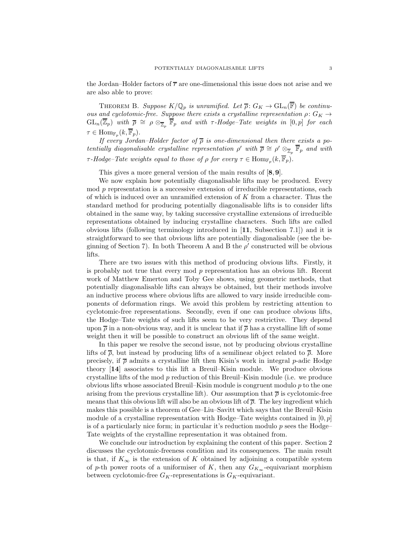the Jordan–Holder factors of  $\bar{r}$  are one-dimensional this issue does not arise and we are also able to prove:

<span id="page-2-0"></span>THEOREM B. Suppose  $K/\mathbb{Q}_p$  is unramified. Let  $\overline{\rho}: G_K \to \text{GL}_n(\overline{\mathbb{F}})$  be continuous and cyclotomic-free. Suppose there exists a crystalline representation  $\rho: G_K \to$  $\mathrm{GL}_n(\overline{\mathbb{Z}}_p)$  with  $\overline{\rho} \cong \rho \otimes_{\overline{\mathbb{Z}}_p} \overline{\mathbb{F}}_p$  and with  $\tau$ -Hodge–Tate weights in  $[0,p]$  for each  $\tau \in \mathrm{Hom}_{\mathbb{F}_p}(k,\overline{\mathbb{F}}_p).$ 

If every Jordan–Holder factor of  $\bar{\rho}$  is one-dimensional then there exists a potentially diagonalisable crystalline representation  $\rho'$  with  $\overline{\rho} \cong \rho' \otimes_{\overline{\mathbb{Z}}_p} \overline{\mathbb{F}}_p$  and with  $\tau$ -Hodge–Tate weights equal to those of  $\rho$  for every  $\tau \in \text{Hom}_{\mathbb{F}_p}(k, \overline{\mathbb{F}}_p)$ .

This gives a more general version of the main results of [[8](#page-25-9),[9](#page-25-10)].

We now explain how potentially diagonalisable lifts may be produced. Every  $\mod p$  representation is a successive extension of irreducible representations, each of which is induced over an unramified extension of K from a character. Thus the standard method for producing potentially diagonalisable lifts is to consider lifts obtained in the same way, by taking successive crystalline extensions of irreducible representations obtained by inducing crystalline characters. Such lifts are called obvious lifts (following terminology introduced in [[11](#page-25-11), Subsection 7.1]) and it is straightforward to see that obvious lifts are potentially diagonalisable (see the be-ginning of Section [7\)](#page-23-0). In both Theorem [A](#page-1-1) and [B](#page-2-0) the  $\rho'$  constructed will be obvious lifts.

There are two issues with this method of producing obvious lifts. Firstly, it is probably not true that every mod  $p$  representation has an obvious lift. Recent work of Matthew Emerton and Toby Gee shows, using geometric methods, that potentially diagonalisable lifts can always be obtained, but their methods involve an inductive process where obvious lifts are allowed to vary inside irreducible components of deformation rings. We avoid this problem by restricting attention to cyclotomic-free representations. Secondly, even if one can produce obvious lifts, the Hodge–Tate weights of such lifts seem to be very restrictive. They depend upon  $\bar{\rho}$  in a non-obvious way, and it is unclear that if  $\bar{\rho}$  has a crystalline lift of some weight then it will be possible to construct an obvious lift of the same weight.

In this paper we resolve the second issue, not by producing obvious crystalline lifts of  $\bar{\rho}$ , but instead by producing lifts of a semilinear object related to  $\bar{\rho}$ . More precisely, if  $\bar{\rho}$  admits a crystalline lift then Kisin's work in integral p-adic Hodge theory [[14](#page-25-12)] associates to this lift a Breuil–Kisin module. We produce obvious crystalline lifts of the mod  $p$  reduction of this Breuil–Kisin module (i.e. we produce obvious lifts whose associated Breuil–Kisin module is congruent modulo  $p$  to the one arising from the previous crystalline lift). Our assumption that  $\bar{\rho}$  is cyclotomic-free means that this obvious lift will also be an obvious lift of  $\bar{\rho}$ . The key ingredient which makes this possible is a theorem of Gee–Liu–Savitt which says that the Breuil–Kisin module of a crystalline representation with Hodge–Tate weights contained in  $[0, p]$ is of a particularly nice form; in particular it's reduction modulo  $p$  sees the Hodge– Tate weights of the crystalline representation it was obtained from.

We conclude our introduction by explaining the content of this paper. Section [2](#page-3-0) discusses the cyclotomic-freeness condition and its consequences. The main result is that, if  $K_{\infty}$  is the extension of K obtained by adjoining a compatible system of p-th power roots of a uniformiser of K, then any  $G_{K_{\infty}}$ -equivariant morphism between cyclotomic-free  $G_K$ -representations is  $G_K$ -equivariant.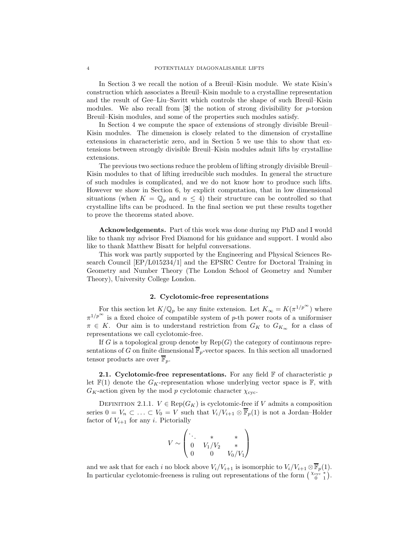In Section [3](#page-8-0) we recall the notion of a Breuil–Kisin module. We state Kisin's construction which associates a Breuil–Kisin module to a crystalline representation and the result of Gee–Liu–Savitt which controls the shape of such Breuil–Kisin modules. We also recall from  $\mathbf{3}$  $\mathbf{3}$  $\mathbf{3}$  the notion of strong divisibility for p-torsion Breuil–Kisin modules, and some of the properties such modules satisfy.

In Section [4](#page-11-0) we compute the space of extensions of strongly divisible Breuil– Kisin modules. The dimension is closely related to the dimension of crystalline extensions in characteristic zero, and in Section [5](#page-15-0) we use this to show that extensions between strongly divisible Breuil–Kisin modules admit lifts by crystalline extensions.

The previous two sections reduce the problem of lifting strongly divisible Breuil– Kisin modules to that of lifting irreducible such modules. In general the structure of such modules is complicated, and we do not know how to produce such lifts. However we show in Section [6,](#page-18-0) by explicit computation, that in low dimensional situations (when  $K = \mathbb{Q}_p$  and  $n \leq 4$ ) their structure can be controlled so that crystalline lifts can be produced. In the final section we put these results together to prove the theorems stated above.

Acknowledgements. Part of this work was done during my PhD and I would like to thank my advisor Fred Diamond for his guidance and support. I would also like to thank Matthew Bisatt for helpful conversations.

This work was partly supported by the Engineering and Physical Sciences Research Council [EP/L015234/1] and the EPSRC Centre for Doctoral Training in Geometry and Number Theory (The London School of Geometry and Number Theory), University College London.

## 2. Cyclotomic-free representations

<span id="page-3-0"></span>For this section let  $K/\mathbb{Q}_p$  be any finite extension. Let  $K_\infty = K(\pi^{1/p^\infty})$  where  $\pi^{1/p^{\infty}}$  is a fixed choice of compatible system of p-th power roots of a uniformiser  $\pi \in K$ . Our aim is to understand restriction from  $G_K$  to  $G_{K_{\infty}}$  for a class of representations we call cyclotomic-free.

If G is a topological group denote by  $\text{Rep}(G)$  the category of continuous representations of G on finite dimensional  $\overline{\mathbb{F}}_p$ -vector spaces. In this section all unadorned tensor products are over  $\mathbb{F}_p$ .

**2.1.** Cyclotomic-free representations. For any field  $\mathbb{F}$  of characteristic p let  $\mathbb{F}(1)$  denote the  $G_K$ -representation whose underlying vector space is  $\mathbb{F}$ , with  $G_K$ -action given by the mod p cyclotomic character  $\chi_{\text{cyc}}$ .

<span id="page-3-1"></span>DEFINITION 2.1.1.  $V \in \text{Rep}(G_K)$  is cyclotomic-free if V admits a composition series  $0 = V_n \subset \ldots \subset V_0 = V$  such that  $V_i/V_{i+1} \otimes \overline{\mathbb{F}}_p(1)$  is not a Jordan–Holder factor of  $V_{i+1}$  for any i. Pictorially

$$
V \sim \begin{pmatrix} \ddots & * & * \\ 0 & V_1/V_2 & * \\ 0 & 0 & V_0/V_1 \end{pmatrix}
$$

and we ask that for each i no block above  $V_i/V_{i+1}$  is isomorphic to  $V_i/V_{i+1} \otimes \overline{\mathbb{F}}_p(1)$ . In particular cyclotomic-freeness is ruling out representations of the form  $\begin{pmatrix} \chi_{\text{cyc}} & * \\ 0 & 1 \end{pmatrix}$ .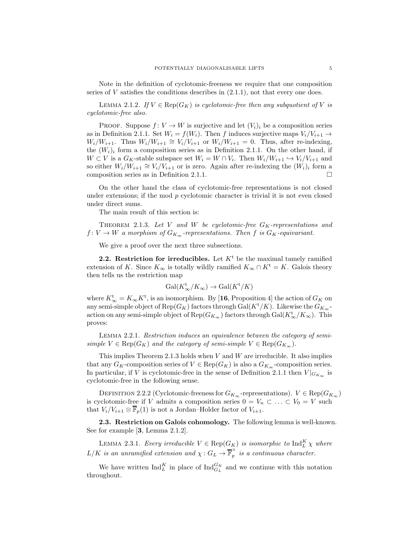Note in the definition of cyclotomic-freeness we require that one composition series of  $V$  satisfies the conditions describes in  $(2.1.1)$ , not that every one does.

<span id="page-4-2"></span>LEMMA 2.1.2. If  $V \in \text{Rep}(G_K)$  is cyclotomic-free then any subquotient of V is cyclotomic-free also.

**PROOF.** Suppose  $f: V \to W$  is surjective and let  $(V_i)_i$  be a composition series as in Definition [2.1.1.](#page-3-1) Set  $W_i = f(W_i)$ . Then f induces surjective maps  $V_i/V_{i+1} \rightarrow$  $W_i/W_{i+1}$ . Thus  $W_i/W_{i+1} \cong V_i/V_{i+1}$  or  $W_i/W_{i+1} = 0$ . Thus, after re-indexing, the  $(W_i)_i$  form a composition series as in Definition [2.1.1.](#page-3-1) On the other hand, if  $W \subset V$  is a  $G_K$ -stable subspace set  $W_i = W \cap V_i$ . Then  $W_i/W_{i+1} \hookrightarrow V_i/V_{i+1}$  and so either  $W_i/W_{i+1} \cong V_i/V_{i+1}$  or is zero. Again after re-indexing the  $(W_i)_i$  form a composition series as in Definition [2.1.1.](#page-3-1)

On the other hand the class of cyclotomic-free representations is not closed under extensions; if the mod  $p$  cyclotomic character is trivial it is not even closed under direct sums.

The main result of this section is:

<span id="page-4-0"></span>THEOREM 2.1.3. Let V and W be cyclotomic-free  $G_K$ -representations and  $f: V \to W$  a morphism of  $G_{K_{\infty}}$ -representations. Then f is  $G_K$ -equivariant.

We give a proof over the next three subsections.

**2.2. Restriction for irreducibles.** Let  $K<sup>t</sup>$  be the maximal tamely ramified extension of K. Since  $K_{\infty}$  is totally wildly ramified  $K_{\infty} \cap K^{\mathfrak{t}} = K$ . Galois theory then tells us the restriction map

$$
\text{Gal}(K^{\text{t}}_{\infty}/K_{\infty}) \to \text{Gal}(K^{\text{t}}/K)
$$

where  $K_{\infty}^{\rm t} = K_{\infty} K^{\rm t}$ , is an isomorphism. By [[16](#page-25-13), Proposition 4] the action of  $G_K$  on any semi-simple object of Rep( $G_K$ ) factors through Gal( $K^{\dagger}/K$ ). Likewise the  $G_{K_{\infty}}$ action on any semi-simple object of  $\mathrm{Rep}(G_{K_{\infty}})$  factors through  $\mathrm{Gal}(K_{\infty}^{\mathbf{t}}/K_{\infty})$ . This proves:

<span id="page-4-1"></span>Lemma 2.2.1. Restriction induces an equivalence between the category of semisimple  $V \in \text{Rep}(G_K)$  and the category of semi-simple  $V \in \text{Rep}(G_{K_{\infty}})$ .

This implies Theorem [2.1.3](#page-4-0) holds when  $V$  and  $W$  are irreducible. It also implies that any  $G_K$ -composition series of  $V \in \text{Rep}(G_K)$  is also a  $G_{K_\infty}$ -composition series. In particular, if V is cyclotomic-free in the sense of Definition [2.1.1](#page-3-1) then  $V|_{G_{K_{\infty}}}$  is cyclotomic-free in the following sense.

<span id="page-4-4"></span>DEFINITION 2.2.2 (Cyclotomic-freeness for  $G_{K_{\infty}}$ -representations).  $V \in \text{Rep}(G_{K_{\infty}})$ is cyclotomic-free if V admits a composition series  $0 = V_n \subset \ldots \subset V_0 = V$  such that  $V_i/V_{i+1} \otimes \overline{\mathbb{F}}_p(1)$  is not a Jordan–Holder factor of  $V_{i+1}$ .

2.3. Restriction on Galois cohomology. The following lemma is well-known. See for example [[3](#page-25-8), Lemma 2.1.2].

<span id="page-4-3"></span>LEMMA 2.3.1. Every irreducible  $V \in \text{Rep}(G_K)$  is isomorphic to  $\text{Ind}_L^K \chi$  where  $L/K$  is an unramified extension and  $\chi: G_L \to \overline{\mathbb{F}}_p^{\times}$  $\hat{p}$  is a continuous character.

We have written  $\text{Ind}_{L}^{K}$  in place of  $\text{Ind}_{G_{L}}^{G_{K}}$  and we continue with this notation throughout.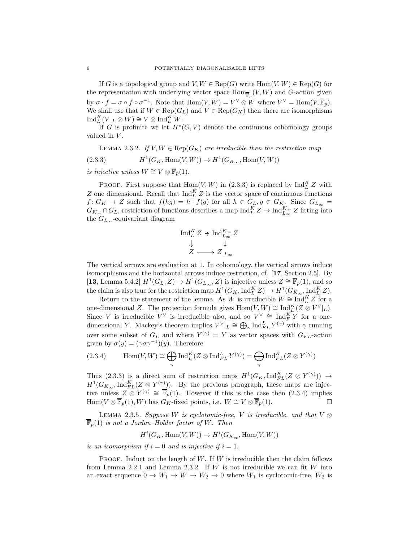If G is a topological group and  $V, W \in \text{Rep}(G)$  write  $\text{Hom}(V, W) \in \text{Rep}(G)$  for the representation with underlying vector space  $\text{Hom}_{\overline{\mathbb{F}}_p}(V, W)$  and G-action given by  $\sigma \cdot f = \sigma \circ f \circ \sigma^{-1}$ . Note that  $\text{Hom}(V, W) = V^{\vee} \otimes W$  where  $V^{\vee} = \text{Hom}(V, \overline{\mathbb{F}}_p)$ . We shall use that if  $W \in \text{Rep}(G_L)$  and  $V \in \text{Rep}(G_K)$  then there are isomorphisms  $\mathrm{Ind}_{L}^{K}(V|_{L}\otimes W)\cong V\otimes \mathrm{Ind}_{L}^{K}W.$ 

If G is profinite we let  $H^*(G, V)$  denote the continuous cohomology groups valued in  $V$ .

<span id="page-5-2"></span><span id="page-5-0"></span>LEMMA 2.3.2. If  $V, W \in \text{Rep}(G_K)$  are irreducible then the restriction map  $(2.3.3)$  $(G_K, \text{Hom}(V, W)) \to H^1(G_{K_{\infty}}, \text{Hom}(V, W))$ 

is injective unless  $W \cong V \otimes \overline{\mathbb{F}}_p(1)$ .

**PROOF.** First suppose that  $\text{Hom}(V, W)$  in [\(2.3.3\)](#page-5-0) is replaced by  $\text{Ind}_{L}^{K} Z$  with Z one dimensional. Recall that  $\text{Ind}_{L}^{K} Z$  is the vector space of continuous functions  $f: G_K \to Z$  such that  $f(hg) = h \cdot f(g)$  for all  $h \in G_L, g \in G_K$ . Since  $G_{L_\infty} =$  $G_{K_{\infty}} \cap G_L$ , restriction of functions describes a map  $\text{Ind}_{L}^{K} Z \to \text{Ind}_{L_{\infty}}^{K_{\infty}} Z$  fitting into the  $G_{L_{\infty}}$ -equivariant diagram

$$
\operatorname{Ind}_{L}^{K} Z \to \operatorname{Ind}_{L_{\infty}}^{K_{\infty}} Z
$$

$$
\downarrow \qquad \downarrow
$$

$$
Z \longrightarrow Z|_{L_{\infty}}
$$

The vertical arrows are evaluation at 1. In cohomology, the vertical arrows induce isomorphisms and the horizontal arrows induce restriction, cf. [[17](#page-25-14), Section 2.5]. By [[13](#page-25-6), Lemma 5.4.2]  $H^1(G_L, Z) \to H^1(G_{L_{\infty}}, Z)$  is injective unless  $Z \cong \overline{\mathbb{F}}_p(1)$ , and so the claim is also true for the restriction map  $H^1(G_K,\operatorname{Ind}_L^K Z) \to H^1(G_{K_\infty},\operatorname{Ind}_L^K Z)$ .

Return to the statement of the lemma. As W is irreducible  $W \cong \text{Ind}_{L}^{K} Z$  for a one-dimensional Z. The projection formula gives  $\text{Hom}(V, W) \cong \text{Ind}_{L}^{K}(Z \otimes V^{\vee}|_{L}).$ Since V is irreducible  $V^{\vee}$  is irreducible also, and so  $V^{\vee} \cong \text{Ind}_{F}^{K} Y$  for a onedimensional Y. Mackey's theorem implies  $V^{\vee}|_L \cong \bigoplus_{\gamma} \text{Ind}_{FL}^{L} Y^{(\gamma)}$  with  $\gamma$  running over some subset of  $G_L$  and where  $Y^{(\gamma)} = Y$  as vector spaces with  $G_{FL}$ -action given by  $\sigma(y) = (\gamma \sigma \gamma^{-1})(y)$ . Therefore

<span id="page-5-1"></span>(2.3.4) 
$$
\operatorname{Hom}(V,W) \cong \bigoplus_{\gamma} \operatorname{Ind}_{L}^{K}(Z \otimes \operatorname{Ind}_{FL}^{L} Y^{(\gamma)}) = \bigoplus_{\gamma} \operatorname{Ind}_{FL}^{K}(Z \otimes Y^{(\gamma)})
$$

Thus [\(2.3.3\)](#page-5-0) is a direct sum of restriction maps  $H^1(G_K, \mathrm{Ind}_{FL}^K(Z \otimes Y^{(\gamma)})) \to$  $H^1(G_{K_{\infty}}, \text{Ind}_{FL}^K(Z \otimes Y^{(\gamma)}))$ . By the previous paragraph, these maps are injective unless  $Z \otimes Y^{(\gamma)} \cong \overline{\mathbb{F}}_p(1)$ . However if this is the case then  $(2.3.4)$  implies Hom( $V \otimes \overline{\mathbb{F}}_p(1), W$ ) has  $G_K$ -fixed points, i.e.  $W \cong V \otimes \overline{\mathbb{F}}_p(1)$ .  $\Box$ 

<span id="page-5-3"></span>LEMMA 2.3.5. Suppose W is cyclotomic-free, V is irreducible, and that  $V \otimes$  $\overline{\mathbb{F}}_p(1)$  is not a Jordan–Holder factor of W. Then

$$
H^i(G_K, \text{Hom}(V, W)) \to H^i(G_{K_{\infty}}, \text{Hom}(V, W))
$$

is an isomorphism if  $i = 0$  and is injective if  $i = 1$ .

PROOF. Induct on the length of  $W$ . If  $W$  is irreducible then the claim follows from Lemma [2.2.1](#page-4-1) and Lemma [2.3.2.](#page-5-2) If W is not irreducible we can fit W into an exact sequence  $0 \to W_1 \to W \to W_2 \to 0$  where  $W_1$  is cyclotomic-free,  $W_2$  is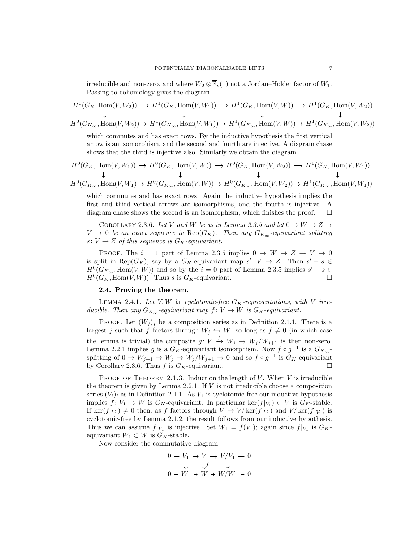irreducible and non-zero, and where  $W_2 \otimes \overline{\mathbb{F}}_p(1)$  not a Jordan–Holder factor of  $W_1$ . Passing to cohomology gives the diagram

$$
H^0(G_K, \text{Hom}(V, W_2)) \longrightarrow H^1(G_K, \text{Hom}(V, W_1)) \longrightarrow H^1(G_K, \text{Hom}(V, W)) \longrightarrow H^1(G_K, \text{Hom}(V, W_2))
$$
  
\n
$$
\downarrow \qquad \qquad \downarrow \qquad \qquad \downarrow
$$
  
\n
$$
H^0(G_{K_{\infty}}, \text{Hom}(V, W_2)) \rightarrow H^1(G_{K_{\infty}}, \text{Hom}(V, W_1)) \rightarrow H^1(G_{K_{\infty}}, \text{Hom}(V, W)) \rightarrow H^1(G_{K_{\infty}}, \text{Hom}(V, W_2))
$$

which commutes and has exact rows. By the inductive hypothesis the first vertical arrow is an isomorphism, and the second and fourth are injective. A diagram chase shows that the third is injective also. Similarly we obtain the diagram

$$
H^0(G_K, \text{Hom}(V, W_1)) \to H^0(G_K, \text{Hom}(V, W)) \to H^0(G_K, \text{Hom}(V, W_2)) \to H^1(G_K, \text{Hom}(V, W_1))
$$
  
\n
$$
\downarrow \qquad \qquad \downarrow \qquad \qquad \downarrow
$$
  
\n
$$
H^0(G_{K_{\infty}}, \text{Hom}(V, W_1) \to H^0(G_{K_{\infty}}, \text{Hom}(V, W)) \to H^0(G_{K_{\infty}}, \text{Hom}(V, W_2)) \to H^1(G_{K_{\infty}}, \text{Hom}(V, W_1))
$$

which commutes and has exact rows. Again the inductive hypothesis implies the first and third vertical arrows are isomorphisms, and the fourth is injective. A diagram chase shows the second is an isomorphism, which finishes the proof.  $\square$ 

<span id="page-6-0"></span>COROLLARY 2.3.6. Let V and W be as in Lemma [2.3.5](#page-5-3) and let  $0 \to W \to Z \to$  $V \to 0$  be an exact sequence in  $\text{Rep}(G_K)$ . Then any  $G_{K_{\infty}}$ -equivariant splitting s:  $V \rightarrow Z$  of this sequence is  $G_K$ -equivariant.

PROOF. The  $i = 1$  part of Lemma [2.3.5](#page-5-3) implies  $0 \rightarrow W \rightarrow Z \rightarrow V \rightarrow 0$ is split in Rep( $G_K$ ), say by a  $G_K$ -equivariant map  $s' : V \to Z$ . Then  $s' - s \in$  $H^0(G_{K_{\infty}}, \text{Hom}(V, W))$  and so by the  $i = 0$  part of Lemma [2.3.5](#page-5-3) implies  $s' - s \in$  $H^0(G_K, \text{Hom}(V, W))$ . Thus s is  $G_K$ -equivariant.

#### 2.4. Proving the theorem.

LEMMA 2.4.1. Let V, W be cyclotomic-free  $G_K$ -representations, with V irreducible. Then any  $G_{K_{\infty}}$ -equivariant map  $f: V \to W$  is  $G_K$ -equivariant.

PROOF. Let  $(W_j)_j$  be a composition series as in Definition [2.1.1.](#page-3-1) There is a largest j such that f factors through  $W_j \hookrightarrow W$ ; so long as  $f \neq 0$  (in which case the lemma is trivial) the composite  $g: V \stackrel{f}{\to} W_j \to W_j/W_{j+1}$  is then non-zero. Lemma [2.2.1](#page-4-1) implies g is a  $G_K$ -equivariant isomorphism. Now  $f \circ g^{-1}$  is a  $G_{K_\infty}$ splitting of  $0 \to W_{j+1} \to W_j \to W_j/W_{j+1} \to 0$  and so  $f \circ g^{-1}$  is  $G_K$ -equivariant by Corollary [2.3.6.](#page-6-0) Thus f is  $G_K$ -equivariant.

PROOF OF THEOREM [2.1.3.](#page-4-0) Induct on the length of  $V$ . When  $V$  is irreducible the theorem is given by Lemma [2.2.1.](#page-4-1) If  $V$  is not irreducible choose a composition series  $(V_i)_i$  as in Definition [2.1.1.](#page-3-1) As  $V_1$  is cyclotomic-free our inductive hypothesis implies  $f: V_1 \to W$  is  $G_K$ -equivariant. In particular ker $(f|_{V_1}) \subset V$  is  $G_K$ -stable. If  $\ker(f|_{V_1}) \neq 0$  then, as f factors through  $V \to V/\ker(f|_{V_1})$  and  $V/\ker(f|_{V_1})$  is cyclotomic-free by Lemma [2.1.2,](#page-4-2) the result follows from our inductive hypothesis. Thus we can assume  $f|_{V_1}$  is injective. Set  $W_1 = f(V_1)$ ; again since  $f|_{V_1}$  is  $G_K$ equivariant  $W_1 \subset W$  is  $G_K$ -stable.

Now consider the commutative diagram

$$
0 \to V_1 \to V \to V/V_1 \to 0
$$
  

$$
\downarrow \qquad \qquad \downarrow f \qquad \downarrow
$$
  

$$
0 \to W_1 \to W \to W/W_1 \to 0
$$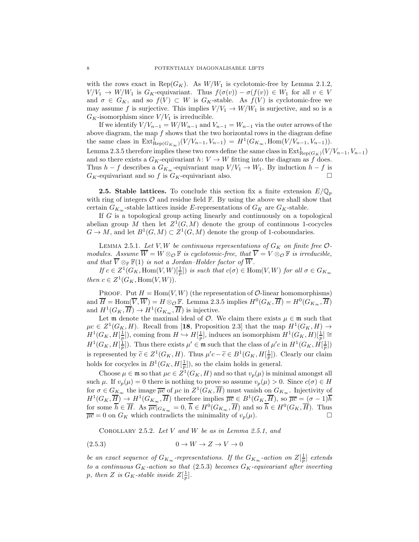with the rows exact in Rep( $G_K$ ). As  $W/W_1$  is cyclotomic-free by Lemma [2.1.2,](#page-4-2)  $V/V_1 \rightarrow W/W_1$  is  $G_K$ -equivariant. Thus  $f(\sigma(v)) - \sigma(f(v)) \in W_1$  for all  $v \in V$ and  $\sigma \in G_K$ , and so  $f(V) \subset W$  is  $G_K$ -stable. As  $f(V)$  is cyclotomic-free we may assume f is surjective. This implies  $V/V_1 \rightarrow W/W_1$  is surjective, and so is a  $G_K$ -isomorphism since  $V/V_1$  is irreducible.

If we identify  $V/V_{n-1} = W/W_{n-1}$  and  $V_{n-1} = W_{n-1}$  via the outer arrows of the above diagram, the map  $f$  shows that the two horizontal rows in the diagram define the same class in  $\text{Ext}_{\text{Rep}(G_{K_{\infty}})}^{1}(V/V_{n-1}, V_{n-1}) = H^{1}(G_{K_{\infty}}, \text{Hom}(V/V_{n-1}, V_{n-1})).$ Lemma [2.3.5](#page-5-3) therefore implies these two rows define the same class in  $\text{Ext}^1_{\text{Rep}(G_K)}(V/V_{n-1}, V_{n-1})$ and so there exists a  $G_K$ -equivariant  $h: V \to W$  fitting into the diagram as f does. Thus  $h - f$  describes a  $G_{K_{\infty}}$ -equivariant map  $V/V_1 \rightarrow W_1$ . By induction  $h - f$  is  $G_K$ -equivariant and so f is  $G_K$ -equivariant also.

**2.5. Stable lattices.** To conclude this section fix a finite extension  $E/\mathbb{Q}_p$ with ring of integers  $\mathcal O$  and residue field  $\mathbb F$ . By using the above we shall show that certain  $G_{K_{\infty}}$ -stable lattices inside E-representations of  $G_K$  are  $G_K$ -stable.

If G is a topological group acting linearly and continuously on a topological abelian group M then let  $Z^1(G,M)$  denote the group of continuous 1-cocycles  $G \to M$ , and let  $B^1(G,M) \subset Z^1(G,M)$  denote the group of 1-coboundaries.

<span id="page-7-0"></span>LEMMA 2.5.1. Let V, W be continuous representations of  $G_K$  on finite free  $\mathcal{O}$ modules. Assume  $\overline{W} = W \otimes_{\mathcal{O}} \mathbb{F}$  is cyclotomic-free, that  $\overline{V} = V \otimes_{\mathcal{O}} \mathbb{F}$  is irreducible, and that  $\overline{V} \otimes_{\mathbb{F}} \mathbb{F}(1)$  is not a Jordan–Holder factor of  $\overline{W}$ .

If  $c \in Z^1(G_K, \text{Hom}(V,W)[\frac{1}{p}])$  is such that  $c(\sigma) \in \text{Hom}(V,W)$  for all  $\sigma \in G_{K_\infty}$ then  $c \in Z^1(G_K, \text{Hom}(V, W)).$ 

PROOF. Put  $H = \text{Hom}(V, W)$  (the representation of  $\mathcal{O}\text{-linear homomorphisms}$ ) and  $\overline{H} = \text{Hom}(\overline{V}, \overline{W}) = H \otimes_{\mathcal{O}} \mathbb{F}$ . Lemma [2.3.5](#page-5-3) implies  $H^0(G_K, \overline{H}) = H^0(G_{K_{\infty}}, \overline{H})$ and  $H^1(G_K, \overline{H}) \to H^1(G_{K_{\infty}}, \overline{H})$  is injective.

Let m denote the maximal ideal of  $\mathcal O$ . We claim there exists  $\mu \in \mathfrak m$  such that  $\mu c \in Z^1(G_K, H)$ . Recall from [[18](#page-25-15), Proposition 2.3] that the map  $H^1(G_K, H) \to$  $H^1(G_K, H[\frac{1}{p}])$ , coming from  $H \hookrightarrow H[\frac{1}{p}]$ , induces an isomorphism  $H^1(G_K, H)[\frac{1}{p}] \cong$  $H^1(G_K, H[\frac{1}{p}])$ . Thus there exists  $\mu' \in \mathfrak{m}$  such that the class of  $\mu'c$  in  $H^1(G_K, H[\frac{1}{p}])$ is represented by  $\tilde{c} \in Z^1(G_K, H)$ . Thus  $\mu'c - \tilde{c} \in B^1(G_K, H[\frac{1}{p}])$ . Clearly our claim holds for cocycles in  $B^1(G_K, H[\frac{1}{p}])$ , so the claim holds in general.

Choose  $\mu \in \mathfrak{m}$  so that  $\mu c \in \mathbb{Z}^1(G_K, H)$  and so that  $v_p(\mu)$  is minimal amongst all such  $\mu$ . If  $v_p(\mu) = 0$  there is nothing to prove so assume  $v_p(\mu) > 0$ . Since  $c(\sigma) \in H$ for  $\sigma \in G_{K_{\infty}}$  the image  $\overline{\mu c}$  of  $\mu c$  in  $Z^1(G_K, \overline{H})$  must vanish on  $G_{K_{\infty}}$ . Injectivity of  $H^1(G_K, \overline{H}) \to H^1(G_{K_{\infty}}, \overline{H})$  therefore implies  $\overline{\mu c} \in B^1(G_K, \overline{H})$ , so  $\overline{\mu c} = (\sigma - 1)\overline{h}$ for some  $\overline{h} \in \overline{H}$ . As  $\overline{\mu c}|_{G_{K_{\infty}}} = 0$ ,  $\overline{h} \in H^0(G_{K_{\infty}}, \overline{H})$  and so  $\overline{h} \in H^0(G_K, \overline{H})$ . Thus  $\overline{\mu c} = 0$  on  $G_K$  which contradicts the minimality of  $v_p(\mu)$ .

<span id="page-7-2"></span><span id="page-7-1"></span>COROLLARY 2.5.2. Let V and W be as in Lemma [2.5.1,](#page-7-0) and

$$
(2.5.3) \t\t 0 \t\t \to W \t\t \to Z \t\t \to V \t\t \to 0
$$

be an exact sequence of  $G_{K_{\infty}}$ -representations. If the  $G_{K_{\infty}}$ -action on  $Z[\frac{1}{p}]$  extends to a continuous  $G_K$ -action so that [\(2.5.3\)](#page-7-1) becomes  $G_K$ -equivariant after inverting p, then Z is  $G_K$ -stable inside  $Z[\frac{1}{p}].$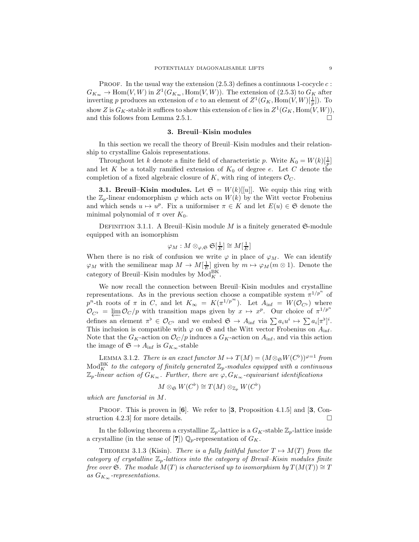PROOF. In the usual way the extension  $(2.5.3)$  defines a continuous 1-cocycle c:  $G_{K_{\infty}} \to \text{Hom}(V, W)$  in  $Z^1(G_{K_{\infty}}, \text{Hom}(V, W))$ . The extension of [\(2.5.3\)](#page-7-1) to  $G_K$  after inverting p produces an extension of c to an element of  $Z^1(G_K, \text{Hom}(V,W)[\frac{1}{p}])$ . To show Z is  $G_K$ -stable it suffices to show this extension of c lies in  $Z^1(G_K, \text{Hom}(V, W)),$ and this follows from Lemma [2.5.1.](#page-7-0)

### 3. Breuil–Kisin modules

<span id="page-8-0"></span>In this section we recall the theory of Breuil–Kisin modules and their relationship to crystalline Galois representations.

Throughout let k denote a finite field of characteristic p. Write  $K_0 = W(k)[\frac{1}{p}]$ and let K be a totally ramified extension of  $K_0$  of degree e. Let C denote the completion of a fixed algebraic closure of K, with ring of integers  $\mathcal{O}_C$ .

**3.1. Breuil–Kisin modules.** Let  $\mathfrak{S} = W(k)[[u]]$ . We equip this ring with the  $\mathbb{Z}_p$ -linear endomorphism  $\varphi$  which acts on  $W(k)$  by the Witt vector Frobenius and which sends  $u \mapsto u^p$ . Fix a uniformiser  $\pi \in K$  and let  $E(u) \in \mathfrak{S}$  denote the minimal polynomial of  $\pi$  over  $K_0$ .

DEFINITION 3.1.1. A Breuil–Kisin module M is a finitely generated  $\mathfrak{S}\text{-module}$ equipped with an isomorphism

$$
\varphi_M: M\otimes_{\varphi, {\mathfrak S}} {\mathfrak S}[\tfrac{1}{E}] \cong M[\tfrac{1}{E}]
$$

When there is no risk of confusion we write  $\varphi$  in place of  $\varphi_M$ . We can identify  $\varphi_M$  with the semilinear map  $M \to M[\frac{1}{E}]$  given by  $m \mapsto \varphi_M(m \otimes 1)$ . Denote the category of Breuil–Kisin modules by  $Mod_K^{BK}$ .

We now recall the connection between Breuil–Kisin modules and crystalline representations. As in the previous section choose a compatible system  $\pi^{1/p^n}$  of p<sup>n</sup>-th roots of  $\pi$  in C, and let  $K_{\infty} = K(\pi^{1/p^{\infty}})$ . Let  $A_{\text{inf}} = W(\mathcal{O}_{C^{\flat}})$  where  $\mathcal{O}_{C^{\flat}} = \varprojlim \mathcal{O}_{C}/p$  with transition maps given by  $x \mapsto x^{p}$ . Our choice of  $\pi^{1/p^{n}}$ defines an element  $\pi^{\flat} \in \mathcal{O}_{C^{\flat}}$  and we embed  $\mathfrak{S} \to A_{\text{inf}}$  via  $\sum a_i u^i \mapsto \sum a_i [\pi^{\flat}]^i$ . This inclusion is compatible with  $\varphi$  on  $\mathfrak S$  and the Witt vector Frobenius on  $A_{\inf}$ . Note that the  $G_K$ -action on  $\mathcal{O}_C/p$  induces a  $G_K$ -action on  $A_{\text{inf}}$ , and via this action the image of  $\mathfrak{S} \to A_{\text{inf}}$  is  $G_{K_{\infty}}$ -stable

LEMMA 3.1.2. There is an exact functor  $M \mapsto T(M) = (M \otimes \mathfrak{S}W(C^{\flat}))^{\varphi=1}$  from  $\operatorname{Mod}^{\rm BK}_K$  to the category of finitely generated  $\mathbb{Z}_p$ -modules equipped with a continuous  $\mathbb{Z}_p$ -linear action of  $G_{K_{\infty}}$ . Further, there are  $\varphi, G_{K_{\infty}}$ -equivariant identifications

$$
M\otimes_{\mathfrak{S}} W(C^\flat)\cong T(M)\otimes_{\mathbb{Z}_p} W(C^\flat)
$$

which are functorial in M.

PROOF. This is proven in  $[6]$  $[6]$  $[6]$ . We refer to  $[3,$  $[3,$  $[3,$  Proposition 4.1.5 and  $[3,$  Construction 4.2.3 for more details.  $\square$ 

In the following theorem a crystalline  $\mathbb{Z}_p$ -lattice is a  $G_K$ -stable  $\mathbb{Z}_p$ -lattice inside a crystalline (in the sense of [[7](#page-25-17)])  $\mathbb{Q}_p$ -representation of  $G_K$ .

<span id="page-8-1"></span>THEOREM 3.1.3 (Kisin). There is a fully faithful functor  $T \mapsto M(T)$  from the category of crystalline  $\mathbb{Z}_p$ -lattices into the category of Breuil–Kisin modules finite free over S. The module  $M(T)$  is characterised up to isomorphism by  $T(M(T)) \cong T$ as  $G_{K_{\infty}}$ -representations.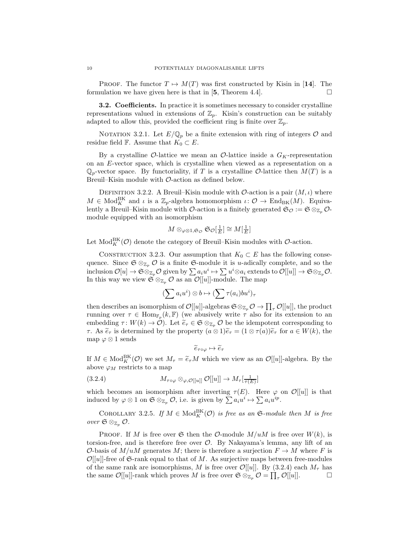PROOF. The functor  $T \mapsto M(T)$  was first constructed by Kisin in [[14](#page-25-12)]. The formulation we have given here is that in [[5](#page-25-18), Theorem 4.4].

**3.2. Coefficients.** In practice it is sometimes necessary to consider crystalline representations valued in extensions of  $\mathbb{Z}_p$ . Kisin's construction can be suitably adapted to allow this, provided the coefficient ring is finite over  $\mathbb{Z}_p$ .

NOTATION 3.2.1. Let  $E/\mathbb{Q}_p$  be a finite extension with ring of integers  $\mathcal O$  and residue field F. Assume that  $K_0 \subset E$ .

By a crystalline  $\mathcal{O}\text{-lattice}$  we mean an  $\mathcal{O}\text{-lattice}$  inside a  $G_K$ -representation on an E-vector space, which is crystalline when viewed as a representation on a  $\mathbb{Q}_p$ -vector space. By functoriality, if T is a crystalline O-lattice then  $M(T)$  is a Breuil–Kisin module with O-action as defined below.

DEFINITION 3.2.2. A Breuil–Kisin module with  $\mathcal{O}\text{-action}$  is a pair  $(M, \iota)$  where  $M \in Mod_K^{\text{BK}}$  and  $\iota$  is a  $\mathbb{Z}_p$ -algebra homomorphism  $\iota: \mathcal{O} \to \text{End}_{\text{BK}}(M)$ . Equivalently a Breuil–Kisin module with  $\mathcal{O}\text{-action}$  is a finitely generated  $\mathfrak{S}_{\mathcal{O}} := \mathfrak{S} \otimes_{\mathbb{Z}_p} \mathcal{O}\text{-}$ module equipped with an isomorphism

$$
M \otimes_{\varphi \otimes 1, \mathfrak{S}_{\mathcal{O}}} \mathfrak{S}_{\mathcal{O}}[\tfrac{1}{E}] \cong M[\tfrac{1}{E}]
$$

Let  $\text{Mod}_{K}^{\text{BK}}(\mathcal{O})$  denote the category of Breuil–Kisin modules with  $\mathcal{O}\text{-action}$ .

<span id="page-9-1"></span>CONSTRUCTION 3.2.3. Our assumption that  $K_0 \subset E$  has the following consequence. Since  $\mathfrak{S} \otimes_{\mathbb{Z}_p} \mathcal{O}$  is a finite  $\mathfrak{S}\text{-module}$  it is *u*-adically complete, and so the inclusion  $\mathcal{O}[u] \to \mathfrak{S} \otimes_{\mathbb{Z}_p} \mathcal{O}$  given by  $\sum a_i u^i \mapsto \sum u^i \otimes a_i$  extends to  $\mathcal{O}[[u]] \to \mathfrak{S} \otimes_{\mathbb{Z}_p} \mathcal{O}$ . In this way we view  $\mathfrak{S} \otimes_{\mathbb{Z}_p} \mathcal{O}$  as an  $\mathcal{O}[[u]]$ -module. The map

$$
(\sum a_i u^i) \otimes b \mapsto (\sum \tau(a_i) b u^i)_{\tau}
$$

then describes an isomorphism of  $\mathcal{O}[[u]]$ -algebras  $\mathfrak{S} \otimes_{\mathbb{Z}_p} \mathcal{O} \to \prod_{\tau} \mathcal{O}[[u]]$ , the product running over  $\tau \in \text{Hom}_{\mathbb{F}_p}(k,\mathbb{F})$  (we abusively write  $\tau$  also for its extension to an embedding  $\tau: W(k) \to \mathcal{O}$ . Let  $\tilde{e}_{\tau} \in \mathfrak{S} \otimes_{\mathbb{Z}_p} \mathcal{O}$  be the idempotent corresponding to τ. As  $\tilde{e}_τ$  is determined by the property  $(a \otimes 1)\tilde{e}_τ = (1 \otimes τ(a))\tilde{e}_τ$  for  $a \in W(k)$ , the map  $\varphi \otimes 1$  sends

<span id="page-9-0"></span>
$$
\widetilde{e}_{\tau \circ \varphi} \mapsto \widetilde{e}_{\tau}
$$

If  $M \in Mod_K^{BK}(\mathcal{O})$  we set  $M_\tau = \tilde{e}_\tau M$  which we view as an  $\mathcal{O}[[u]]$ -algebra. By the above  $\varphi_M$  restricts to a map

(3.2.4) 
$$
M_{\tau \circ \varphi} \otimes_{\varphi, \mathcal{O}[[u]]} \mathcal{O}[[u]] \to M_{\tau}[\frac{1}{\tau(E)}]
$$

which becomes an isomorphism after inverting  $\tau(E)$ . Here  $\varphi$  on  $\mathcal{O}[[u]]$  is that induced by  $\varphi \otimes 1$  on  $\mathfrak{S} \otimes_{\mathbb{Z}_p} \mathcal{O}$ , i.e. is given by  $\sum a_i u^i \mapsto \sum a_i u^{ip}$ .

<span id="page-9-2"></span>COROLLARY 3.2.5. If  $M \in Mod_K^{\text{BK}}(\mathcal{O})$  is free as an  $\mathfrak{S}\text{-module then }M$  is free over  $\mathfrak{S} \otimes_{\mathbb{Z}_p} \mathcal{O}.$ 

**PROOF.** If M is free over  $\mathfrak{S}$  then the O-module  $M/uM$  is free over  $W(k)$ , is torsion-free, and is therefore free over  $\mathcal{O}$ . By Nakayama's lemma, any lift of an O-basis of  $M/uM$  generates M; there is therefore a surjection  $F \to M$  where F is  $\mathcal{O}[[u]]$ -free of G-rank equal to that of M. As surjective maps between free-modules of the same rank are isomorphisms, M is free over  $\mathcal{O}[[u]]$ . By [\(3.2.4\)](#page-9-0) each  $M_{\tau}$  has the same  $\mathcal{O}[[u]]$ -rank which proves M is free over  $\mathfrak{S} \otimes_{\mathbb{Z}_p} \mathcal{O} = \prod_{\tau} \mathcal{O}[[u]]$ .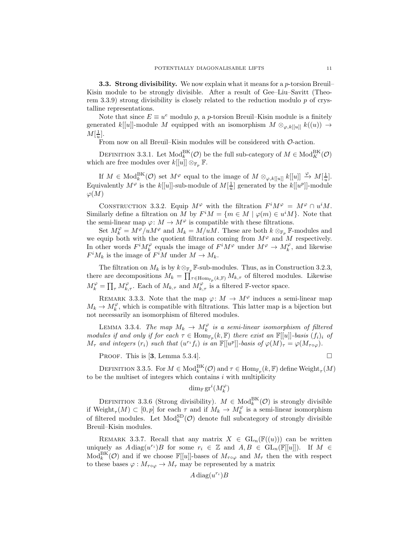**3.3. Strong divisibility.** We now explain what it means for a p-torsion Breuil– Kisin module to be strongly divisible. After a result of Gee–Liu–Savitt (Theo-rem [3.3.9\)](#page-11-1) strong divisibility is closely related to the reduction modulo  $p$  of crystalline representations.

Note that since  $E \equiv u^e$  modulo p, a p-torsion Breuil–Kisin module is a finitely generated k[[u]]-module M equipped with an isomorphism  $M \otimes_{\varphi, k[[u]]} k((u)) \rightarrow$  $M[\frac{1}{u}].$ 

From now on all Breuil–Kisin modules will be considered with  $\mathcal{O}\text{-action}$ .

DEFINITION 3.3.1. Let  $\text{Mod}_k^{\text{BK}}(\mathcal{O})$  be the full sub-category of  $M \in \text{Mod}_K^{\text{BK}}(\mathcal{O})$ which are free modules over  $k[[u]] \otimes_{\mathbb{F}_p} \mathbb{F}$ .

If  $M \in Mod_k^{\text{BK}}(\mathcal{O})$  set  $M^\varphi$  equal to the image of  $M \otimes_{\varphi, k[[u]]} k[[u]] \xrightarrow{\varphi} M[\frac{1}{u}]$ . Equivalently  $M^{\varphi}$  is the  $k[[u]]$ -sub-module of  $M[\frac{1}{u}]$  generated by the  $k[[u^p]]$ -module  $\varphi(M)$ 

CONSTRUCTION 3.3.2. Equip  $M^{\varphi}$  with the filtration  $F^iM^{\varphi} = M^{\varphi} \cap u^iM$ . Similarly define a filtration on M by  $F^iM = \{m \in M \mid \varphi(m) \in u^iM\}$ . Note that the semi-linear map  $\varphi: M \to M^{\varphi}$  is compatible with these filtrations.

Set  $M_k^{\varphi} = M^{\varphi}/uM^{\varphi}$  and  $M_k = M/uM$ . These are both  $k \otimes_{\mathbb{F}_p} \mathbb{F}$ -modules and we equip both with the quotient filtration coming from  $M^{\varphi}$  and M respectively. In other words  $F^i M_k^{\varphi}$  equals the image of  $F^i M^{\varphi}$  under  $M^{\varphi} \to M_k^{\varphi}$ , and likewise  $F^i M_k$  is the image of  $F^i M$  under  $M \to M_k$ .

The filtration on  $M_k$  is by  $k \otimes_{\mathbb{F}_p} \mathbb{F}$ -sub-modules. Thus, as in Construction [3.2.3,](#page-9-1) there are decompositions  $M_k = \prod_{\tau \in \text{Hom}_{\mathbb{F}_p}(k,\mathbb{F})} M_{k,\tau}$  of filtered modules. Likewise  $M_k^{\varphi} = \prod_{\tau} M_{k,\tau}^{\varphi}$ . Each of  $M_{k,\tau}$  and  $M_{k,\tau}^{\varphi}$  is a filtered F-vector space.

REMARK 3.3.3. Note that the map  $\varphi: M \to M^{\varphi}$  induces a semi-linear map  $M_k \to M_k^{\varphi}$ , which is compatible with filtrations. This latter map is a bijection but not necessarily an isomorphism of filtered modules.

<span id="page-10-0"></span>LEMMA 3.3.4. The map  $M_k \to M_k^{\varphi}$  is a semi-linear isomorphism of filtered modules if and only if for each  $\tau \in \text{Hom}_{\mathbb{F}_p}(k, \mathbb{F})$  there exist an  $\mathbb{F}[[u]]$ -basis  $(f_i)_i$  of  $M_{\tau}$  and integers  $(r_i)$  such that  $(u^{r_i}f_i)$  is an  $\mathbb{F}[[u^p]]$ -basis of  $\varphi(M)_{\tau} = \varphi(M_{\tau \circ \varphi})$ .

PROOF. This is [[3](#page-25-8), Lemma 5.3.4].

$$
\qquad \qquad \Box
$$

DEFINITION 3.3.5. For  $M \in \text{Mod}_k^{\text{BK}}(\mathcal{O})$  and  $\tau \in \text{Hom}_{\mathbb{F}_p}(k, \mathbb{F})$  define  $\text{Weight}_{\tau}(M)$ to be the multiset of integers which contains  $i$  with multiplicity

 $\dim_{\mathbb{F}} \operatorname{gr}^i(M_k^{\varphi})$ 

DEFINITION 3.3.6 (Strong divisibility).  $M \in Mod_k^{\text{BK}}(\mathcal{O})$  is strongly divisible if  $\text{Weight}_{\tau}(M) \subset [0, p]$  for each  $\tau$  and if  $M_k \to M_k^{\varphi}$  is a semi-linear isomorphism of filtered modules. Let  $\text{Mod}_{k}^{\text{SD}}(\mathcal{O})$  denote full subcategory of strongly divisible Breuil–Kisin modules.

<span id="page-10-1"></span>REMARK 3.3.7. Recall that any matrix  $X \in GL_n(\mathbb{F}((u)))$  can be written uniquely as  $A \text{ diag}(u^{r_i})B$  for some  $r_i \in \mathbb{Z}$  and  $A, B \in GL_n(\mathbb{F}[[u]])$ . If  $M \in$  $\text{Mod}_{k}^{\text{BK}}(\mathcal{O})$  and if we choose  $\mathbb{F}[[u]]$ -bases of  $M_{\tau \circ \varphi}$  and  $M_{\tau}$  then the with respect to these bases  $\varphi : M_{\tau \circ \varphi} \to M_{\tau}$  may be represented by a matrix

$$
A\operatorname{diag}(u^{r_i})B
$$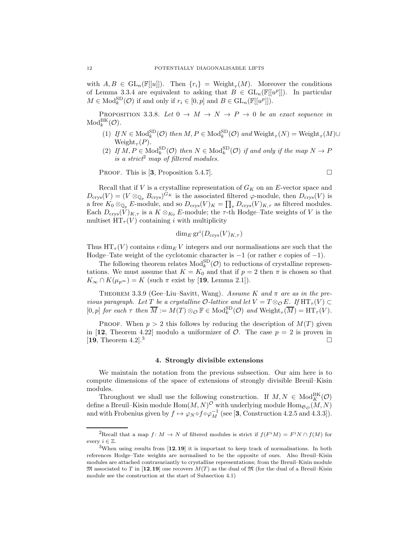with  $A, B \in GL_n(\mathbb{F}[[u]])$ . Then  $\{r_i\} = \text{Weight}_{\tau}(M)$ . Moreover the conditions of Lemma [3.3.4](#page-10-0) are equivalent to asking that  $B \in GL_n(\mathbb{F}[[u^p]])$ . In particular  $M \in Mod_k^{\text{SD}}(\mathcal{O})$  if and only if  $r_i \in [0, p]$  and  $B \in GL_n(\mathbb{F}[[u^p]])$ .

<span id="page-11-4"></span>PROPOSITION 3.3.8. Let  $0 \to M \to N \to P \to 0$  be an exact sequence in  $\mathrm{Mod}_k^\mathrm{BK}(\mathcal{O}).$ 

- (1) If  $N \in Mod_k^{\text{SD}}(\mathcal{O})$  then  $M, P \in Mod_k^{\text{SD}}(\mathcal{O})$  and  $\text{Weight}_{\tau}(N) = \text{Weight}_{\tau}(M) \cup$  $Weight_{\tau}(P)$ .
- (2) If  $M, P \in Mod_k^{\text{SD}}(\mathcal{O})$  then  $N \in Mod_k^{\text{SD}}(\mathcal{O})$  if and only if the map  $N \to P$ is a strict<sup>[2](#page-11-2)</sup> map of filtered modules.

PROOF. This is [[3](#page-25-8), Proposition 5.4.7].

Recall that if  $V$  is a crystalline representation of  $G_K$  on an E-vector space and  $D_{\text{crys}}(V) = (V \otimes_{\mathbb{Q}_p} B_{\text{crys}})^{G_K}$  is the associated filtered  $\varphi$ -module, then  $D_{\text{crys}}(V)$  is a free  $K_0 \otimes_{\mathbb{Q}_p} E$ -module, and so  $D_{\text{crys}}(V)_K = \prod_{\tau} D_{\text{crys}}(V)_{K,\tau}$  as filtered modules. Each  $D_{\text{crys}}(V)_{K,\tau}$  is a  $K \otimes_{K_0} E$ -module; the  $\tau$ -th Hodge–Tate weights of V is the multiset  $HT_{\tau}(V)$  containing i with multiplicity

$$
\dim_E \operatorname{gr}^i(D_{\operatorname{crys}}(V)_{K,\tau})
$$

Thus  $HT_{\tau}(V)$  contains e dim<sub>E</sub> V integers and our normalisations are such that the Hodge–Tate weight of the cyclotomic character is  $-1$  (or rather e copies of  $-1$ ).

The following theorem relates  $Mod_k^{\text{SD}}(\mathcal{O})$  to reductions of crystalline representations. We must assume that  $K = K_0$  and that if  $p = 2$  then  $\pi$  is chosen so that  $K_{\infty} \cap K(\mu_{p^{\infty}}) = K$  (such  $\pi$  exist by [[19](#page-25-7), Lemma 2.1]).

<span id="page-11-1"></span>THEOREM 3.3.9 (Gee–Liu–Savitt, Wang). Assume K and  $\pi$  are as in the previous paragraph. Let T be a crystalline  $\mathcal{O}\text{-}lattice$  and let  $V = T \otimes_{\mathcal{O}} E$ . If  $\text{HT}_{\tau}(V) \subset$  $[0, p]$  for each  $\tau$  then  $\overline{M} := M(T) \otimes_{\mathcal{O}} \mathbb{F} \in Mod_k^{\text{SD}}(\mathcal{O})$  and  $\text{Weight}_{\tau}(\overline{M}) = \text{HT}_{\tau}(V)$ .

PROOF. When  $p > 2$  this follows by reducing the description of  $M(T)$  given in [[12](#page-25-5), Theorem 4.22] modulo a uniformizer of  $\mathcal{O}$ . The case  $p = 2$  is proven in [[19](#page-25-7), Theorem 4.2].<sup>[3](#page-11-3)</sup>

#### 4. Strongly divisible extensions

<span id="page-11-0"></span>We maintain the notation from the previous subsection. Our aim here is to compute dimensions of the space of extensions of strongly divisible Breuil–Kisin modules.

Throughout we shall use the following construction. If  $M, N \in Mod_K^{\text{BK}}(\mathcal{O})$ define a Breuil–Kisin module  $\mathrm{Hom}(M,N)^{\mathcal{O}}$  with underlying module  $\mathrm{Hom}_{\mathfrak{S}_{\mathcal{O}}}(M,N)$ and with Frobenius given by  $f \mapsto \varphi_N \circ f \circ \varphi_M^{-1}$  (see [[3](#page-25-8), Construction 4.2.5 and 4.3.3]).

<sup>&</sup>lt;sup>2</sup>Recall that a map  $f: M \to N$  of filtered modules is strict if  $f(F^iM) = F^iN \cap f(M)$  for every  $i \in \mathbb{Z}$ .

<span id="page-11-3"></span><span id="page-11-2"></span><sup>&</sup>lt;sup>3</sup>When using results from  $\left[12, 19\right]$  $\left[12, 19\right]$  $\left[12, 19\right]$  $\left[12, 19\right]$  $\left[12, 19\right]$  it is important to keep track of normalisations. In both references Hodge–Tate weights are normalised to be the opposite of ours. Also Breuil–Kisin modules are attached contravariantly to crystalline representations; from the Breuil–Kisin module  $\mathfrak{M}$  associated to T in [[12](#page-25-5),[19](#page-25-7)] one recovers  $M(T)$  as the dual of  $\mathfrak{M}$  (for the dual of a Breuil–Kisin module see the construction at the start of Subsection [4.1\)](#page-12-0)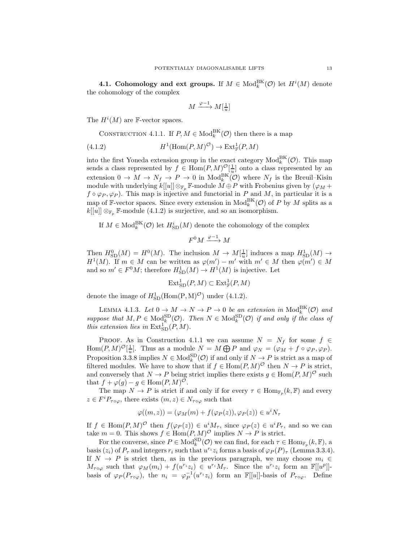<span id="page-12-0"></span>**4.1. Cohomology and ext groups.** If  $M \in Mod_k^{\text{BK}}(\mathcal{O})$  let  $H^i(M)$  denote the cohomology of the complex

<span id="page-12-1"></span>
$$
M \xrightarrow{\varphi - 1} M[\frac{1}{u}]
$$

The  $H^i(M)$  are F-vector spaces.

<span id="page-12-2"></span>CONSTRUCTION 4.1.1. If  $P, M \in Mod_k^{BK}(\mathcal{O})$  then there is a map

(4.1.2) 
$$
H^1(\text{Hom}(P, M)^{\mathcal{O}}) \to \text{Ext}^1_{\mathbb{F}}(P, M)
$$

into the first Yoneda extension group in the exact category  $\text{Mod}_{k}^{\text{BK}}(\mathcal{O})$ . This map sends a class represented by  $f \in \text{Hom}(P, M)^{\mathcal{O}}[\frac{1}{u}]$  onto a class represented by an extension  $0 \to M \to N_f \to P \to 0$  in  $Mod_k^{BK}(\mathcal{O})$  where  $N_f$  is the Breuil–Kisin module with underlying  $k[[u]] \otimes_{\mathbb{F}_p} \mathbb{F}\text{-module } M \oplus P$  with Frobenius given by  $(\varphi_M +$  $f \circ \varphi_P, \varphi_P$ ). This map is injective and functorial in P and M, in particular it is a map of F-vector spaces. Since every extension in  $\text{Mod}_k^{\text{BK}}(\mathcal{O})$  of P by M splits as a  $k[[u]] \otimes_{\mathbb{F}_p} \mathbb{F}\text{-module (4.1.2) is surjective, and so an isomorphism.}$  $k[[u]] \otimes_{\mathbb{F}_p} \mathbb{F}\text{-module (4.1.2) is surjective, and so an isomorphism.}$  $k[[u]] \otimes_{\mathbb{F}_p} \mathbb{F}\text{-module (4.1.2) is surjective, and so an isomorphism.}$ 

If  $M \in Mod_k^{\text{BK}}(\mathcal{O})$  let  $H_{\text{SD}}^i(M)$  denote the cohomology of the complex

$$
F^0 M \xrightarrow{\varphi - 1} M
$$

Then  $H_{\text{SD}}^{0}(M) = H^{0}(M)$ . The inclusion  $M \to M[\frac{1}{u}]$  induces a map  $H_{\text{SD}}^{1}(M) \to$  $H^1(M)$ . If  $m \in M$  can be written as  $\varphi(m') - m'$  with  $m' \in M$  then  $\varphi(m') \in M$ and so  $m' \in F^0M$ ; therefore  $H^1_{\text{SD}}(M) \to H^1(M)$  is injective. Let

$$
\operatorname{Ext}_{\operatorname{SD}}^1(P, M) \subset \operatorname{Ext}_{\mathbb{F}}^1(P, M)
$$

denote the image of  $H_{\text{SD}}^1(\text{Hom}(P,M)^{\mathcal{O}})$  under [\(4.1.2\)](#page-12-1).

LEMMA 4.1.3. Let  $0 \to M \to N \to P \to 0$  be an extension in  $\text{Mod}_k^{\text{BK}}(\mathcal{O})$  and suppose that  $M, P \in \text{Mod}_k^{\text{SD}}(\mathcal{O})$ . Then  $N \in \text{Mod}_k^{\text{SD}}(\mathcal{O})$  if and only if the class of this extension lies in  $\text{Ext}_{SD}^{1}(P, M)$ .

PROOF. As in Construction [4.1.1](#page-12-2) we can assume  $N = N_f$  for some  $f \in$ Hom $(P, M)^{\mathcal{O}}[\frac{1}{u}]$ . Thus as a module  $N = M \bigoplus P$  and  $\varphi_N = (\varphi_M + f \circ \varphi_P, \varphi_P)$ . Proposition [3.3.8](#page-11-4) implies  $N \in Mod_k^{\text{SD}}(\mathcal{O})$  if and only if  $N \to P$  is strict as a map of filtered modules. We have to show that if  $f \in \text{Hom}(P, M)^\mathcal{O}$  then  $N \to P$  is strict, and conversely that  $N \to P$  being strict implies there exists  $g \in \text{Hom}(P, M)^\mathcal{O}$  such that  $f + \varphi(g) - g \in \text{Hom}(P, M)^{\mathcal{O}}$ .

The map  $N \to P$  is strict if and only if for every  $\tau \in \text{Hom}_{\mathbb{F}_p}(k,\mathbb{F})$  and every  $z \in F^i P_{\tau \circ \varphi}$ , there exists  $(m, z) \in N_{\tau \circ \varphi}$  such that

$$
\varphi((m,z)) = (\varphi_M(m) + f(\varphi_P(z)), \varphi_P(z)) \in u^i N_\tau
$$

If  $f \in \text{Hom}(P, M)^{\mathcal{O}}$  then  $f(\varphi_P(z)) \in u^i M_\tau$ , since  $\varphi_P(z) \in u^i P_\tau$ , and so we can take  $m = 0$ . This shows  $f \in Hom(P, M)^\mathcal{O}$  implies  $N \to P$  is strict.

For the converse, since  $P \in \text{Mod}_{k}^{\text{SD}}(\mathcal{O})$  we can find, for each  $\tau \in \text{Hom}_{\mathbb{F}_p}(k, \mathbb{F})$ , a basis  $(z_i)$  of  $P_\tau$  and integers  $r_i$  such that  $u^{r_i}z_i$  forms a basis of  $\varphi_P(P)_\tau$  (Lemma [3.3.4\)](#page-10-0). If  $N \to P$  is strict then, as in the previous paragraph, we may choose  $m_i \in$  $M_{\tau \circ \varphi}$  such that  $\varphi_M(m_i) + f(u^{r_i}z_i) \in u^{r_i}M_{\tau}$ . Since the  $u^{r_i}z_i$  form an  $\mathbb{F}[[u^p]]$ basis of  $\varphi_P(P_{\tau \circ \varphi})$ , the  $n_i = \varphi_P^{-1}(u^{r_i}z_i)$  form an  $\mathbb{F}[[u]]$ -basis of  $P_{\tau \circ \varphi}$ . Define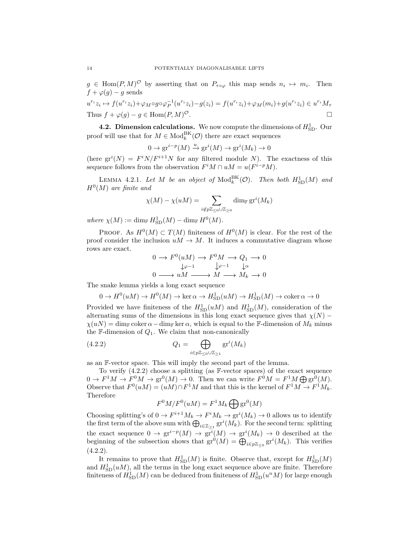$g \in \text{Hom}(P, M)^\mathcal{O}$  by asserting that on  $P_{\tau \circ \varphi}$  this map sends  $n_i \mapsto m_i$ . Then  $f + \varphi(g) - g$  sends

$$
u^{r_i}z_i \mapsto f(u^{r_i}z_i) + \varphi_M \circ g \circ \varphi_P^{-1}(u^{r_i}z_i) - g(z_i) = f(u^{r_i}z_i) + \varphi_M(m_i) + g(u^{r_i}z_i) \in u^{r_i}M_\tau
$$
  
Thus  $f + \varphi(g) - g \in \text{Hom}(P, M)^{\mathcal{O}}$ .

**4.2. Dimension calculations.** We now compute the dimensions of  $H_{SD}^1$ . Our proof will use that for  $M \in Mod_k^{\text{BK}}(\mathcal{O})$  there are exact sequences

$$
0 \to \mathrm{gr}^{i-p}(M) \xrightarrow{u} \mathrm{gr}^i(M) \to \mathrm{gr}^i(M_k) \to 0
$$

(here  $gr^i(N) = F^i N/F^{i+1} N$  for any filtered module N). The exactness of this sequence follows from the observation  $F^iM \cap uM = u(F^{i-p}M)$ .

<span id="page-13-1"></span>LEMMA 4.2.1. Let M be an object of  $\mathrm{Mod}_k^{\mathrm{BK}}(\mathcal{O})$ . Then both  $H^1_{\mathrm{SD}}(M)$  and  $H^0(M)$  are finite and

$$
\chi(M) - \chi(uM) = \sum_{i \notin p\mathbb{Z}_{\leq 0} \cup \mathbb{Z}_{\geq 0}} \dim_{\mathbb{F}} \mathrm{gr}^i(M_k)
$$

where  $\chi(M) := \dim_{\mathbb{F}} H_{\text{SD}}^1(M) - \dim_{\mathbb{F}} H^0(M)$ .

**PROOF.** As  $H^0(M) \subset T(M)$  finiteness of  $H^0(M)$  is clear. For the rest of the proof consider the inclusion  $uM \to M$ . It induces a commutative diagram whose rows are exact.

$$
0 \to F^0(uM) \to F^0M \to Q_1 \to 0
$$
  
\n
$$
\downarrow \varphi^{-1} \qquad \downarrow \varphi
$$
  
\n
$$
0 \longrightarrow uM \longrightarrow M \longrightarrow M_k \to 0
$$

The snake lemma yields a long exact sequence

$$
0 \to H^0(uM) \to H^0(M) \to \ker \alpha \to H^1_{\text{SD}}(uM) \to H^1_{\text{SD}}(M) \to \text{coker}\,\alpha \to 0
$$

Provided we have finiteness of the  $H_{\text{SD}}^1(uM)$  and  $H_{\text{SD}}^1(M)$ , consideration of the alternating sums of the dimensions in this long exact sequence gives that  $\chi(N)$  −  $\chi(uN) = \dim_{\mathbb{F}} \text{coker}\,\alpha - \dim_{\mathbb{F}} \ker \alpha$ , which is equal to the F-dimension of  $M_k$  minus the F-dimension of  $Q_1$ . We claim that non-canonically

(4.2.2) 
$$
Q_1 = \bigoplus_{i \in p\mathbb{Z}_{\leq 0} \cup \mathbb{Z}_{\geq 1}} \operatorname{gr}^i(M_k)
$$

as an F-vector space. This will imply the second part of the lemma.

To verify [\(4.2.2\)](#page-13-0) choose a splitting (as F-vector spaces) of the exact sequence  $0 \to F^1M \to F^0M \to \text{gr}^0(M) \to 0$ . Then we can write  $F^0M = F^1M \bigoplus \text{gr}^0(M)$ . Observe that  $F^0(uM) = (uM) \cap F^1M$  and that this is the kernel of  $F^1M \to F^1M_k$ . Therefore

<span id="page-13-0"></span>
$$
F^{0}M/F^{0}(uM) = F^{1}M_{k} \bigoplus \text{gr}^{0}(M)
$$

Choosing splitting's of  $0 \to F^{i+1}M_k \to F^iM_k \to \text{gr}^i(M_k) \to 0$  allows us to identify the first term of the above sum with  $\bigoplus_{i\in\mathbb{Z}_{\geq 1}}\mathrm{gr}^i(M_k)$ . For the second term: splitting the exact sequence  $0 \to \text{gr}^{i-p}(M) \to \text{gr}^{i}(M) \to \text{gr}^{i}(M_k) \to 0$  described at the beginning of the subsection shows that  $\mathrm{gr}^0(M) = \bigoplus_{i \in p \mathbb{Z}_{\leq 0}} \mathrm{gr}^i(M_k)$ . This verifies  $(4.2.2).$  $(4.2.2).$ 

It remains to prove that  $H_{\text{SD}}^1(M)$  is finite. Observe that, except for  $H_{\text{SD}}^1(M)$ and  $H_{\text{SD}}^1(uM)$ , all the terms in the long exact sequence above are finite. Therefore finiteness of  $H^1_{\text{SD}}(M)$  can be deduced from finiteness of  $H^1_{\text{SD}}(u^n M)$  for large enough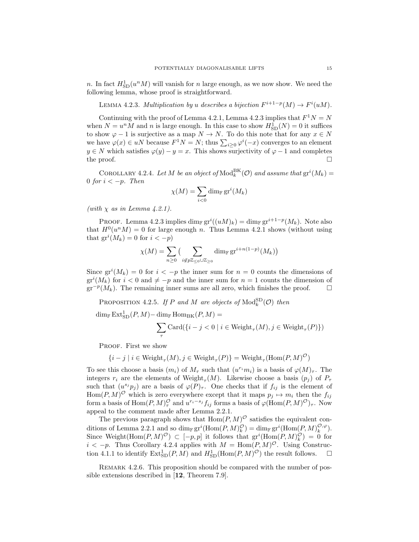n. In fact  $H_{SD}^1(u^n M)$  will vanish for n large enough, as we now show. We need the following lemma, whose proof is straightforward.

<span id="page-14-0"></span>LEMMA 4.2.3. Multiplication by u describes a bijection  $F^{i+1-p}(M) \to F^{i}(u)$ .

Continuing with the proof of Lemma [4.2.1,](#page-13-1) Lemma [4.2.3](#page-14-0) implies that  $F^1N = N$ when  $N = u<sup>n</sup>M$  and n is large enough. In this case to show  $H<sub>SD</sub><sup>1</sup>(N) = 0$  it suffices to show  $\varphi - 1$  is surjective as a map  $N \to N$ . To do this note that for any  $x \in N$ we have  $\varphi(x) \in u$  because  $F^1 N = N$ ; thus  $\sum_{i \geq 0} \varphi^i(-x)$  converges to an element  $y \in N$  which satisfies  $\varphi(y) - y = x$ . This shows surjectivity of  $\varphi - 1$  and completes the proof.  $\square$ 

<span id="page-14-1"></span>COROLLARY 4.2.4. Let M be an object of  $\text{Mod}_k^{\text{BK}}(\mathcal{O})$  and assume that  $\text{gr}^i(M_k)$  = 0 for  $i < -p$ . Then

$$
\chi(M) = \sum_{i < 0} \dim_{\mathbb{F}} \mathrm{gr}^i(M_k)
$$

(with  $\chi$  as in Lemma [4.2.1\)](#page-13-1).

PROOF. Lemma [4.2.3](#page-14-0) implies  $\dim_{\mathbb{F}} \mathrm{gr}^i((uM)_k) = \dim_{\mathbb{F}} \mathrm{gr}^{i+1-p}(M_k)$ . Note also that  $H^0(u^nM) = 0$  for large enough n. Thus Lemma [4.2.1](#page-13-1) shows (without using that  $\operatorname{gr}^i(M_k) = 0$  for  $i < -p$ )

$$
\chi(M) = \sum_{n\geq 0} \left( \sum_{i \notin p\mathbb{Z}_{\leq 0} \cup \mathbb{Z}_{\geq 0}} \dim_{\mathbb{F}} \mathrm{gr}^{i+n(1-p)}(M_k) \right)
$$

Since  $\operatorname{gr}^i(M_k) = 0$  for  $i < -p$  the inner sum for  $n = 0$  counts the dimensions of  $gr<sup>i</sup>(M<sub>k</sub>)$  for  $i < 0$  and  $\neq -p$  and the inner sum for  $n = 1$  counts the dimension of  $gr^{-p}(M_k)$ . The remaining inner sums are all zero, which finishes the proof.  $\square$ 

<span id="page-14-2"></span>PROPOSITION 4.2.5. If P and M are objects of  $\text{Mod}_{k}^{\text{SD}}(\mathcal{O})$  then

 $\dim_{\mathbb{F}} \mathrm{Ext}^1_{\mathrm{SD}}(P,M) - \dim_{\mathbb{F}} \mathrm{Hom}_{\mathrm{BK}}(P,M) =$ 

$$
\sum_\tau \mathrm{Card}(\{i-j<0 \mid i \in \mathrm{Weight}_\tau(M), j \in \mathrm{Weight}_\tau(P)\})
$$

PROOF. First we show

$$
\{i - j \mid i \in Weight_{\tau}(M), j \in Weight_{\tau}(P)\} = Weight_{\tau}(Hom(P, M)^{\mathcal{O}})
$$

To see this choose a basis  $(m_i)$  of  $M_\tau$  such that  $(u^{r_i}m_i)$  is a basis of  $\varphi(M)_\tau$ . The integers  $r_i$  are the elements of Weight<sub> $\tau$ </sub> $(M)$ . Likewise choose a basis  $(p_j)$  of  $P_{\tau}$ such that  $(u^{s_j} p_j)$  are a basis of  $\varphi(P)_{\tau}$ . One checks that if  $f_{ij}$  is the element of  $Hom(P, M)^\mathcal{O}$  which is zero everywhere except that it maps  $p_j \mapsto m_i$  then the  $f_{ij}$ form a basis of  $\text{Hom}(P, M)_\tau^\mathcal{O}$  and  $u^{r_i - s_j} f_{ij}$  forms a basis of  $\varphi(\text{Hom}(P, M)^\mathcal{O})_\tau$ . Now appeal to the comment made after Lemma [2.2.1.](#page-4-1)

The previous paragraph shows that  $\text{Hom}(P, M)^\mathcal{O}$  satisfies the equivalent con-ditions of Lemma [2.2.1](#page-4-1) and so dim<sub>F</sub> gr<sup>i</sup>(Hom(P, M)<sup> $\mathcal{O}_k$ </sup>) = dim<sub>F</sub> gr<sup>i</sup>(Hom(P, M)<sup> $\mathcal{O}, \varphi$ </sup>). Since Weight(Hom $(P, M)^\mathcal{O}$ )  $\subset [-p, p]$  it follows that  $gr^i(\text{Hom}(P, M)_k^\mathcal{O}) = 0$  for  $i < -p$ . Thus Corollary [4.2.4](#page-14-1) applies with  $M = \text{Hom}(P, M)^{\mathcal{O}}$ . Using Construc-tion [4.1.1](#page-12-2) to identify  $\text{Ext}_{SD}^{1}(P, M)$  and  $H_{SD}^{1}(\text{Hom}(P, M)^{\mathcal{O}})$  the result follows.  $\Box$ 

REMARK 4.2.6. This proposition should be compared with the number of possible extensions described in [[12](#page-25-5), Theorem 7.9].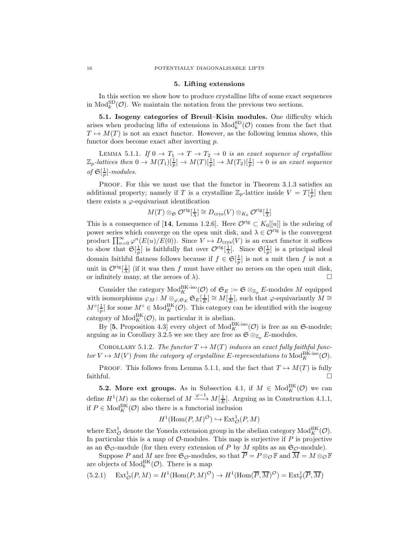#### 5. Lifting extensions

<span id="page-15-0"></span>In this section we show how to produce crystalline lifts of some exact sequences in  $\text{Mod}_{k}^{\text{SD}}(\mathcal{O})$ . We maintain the notation from the previous two sections.

5.1. Isogeny categories of Breuil-Kisin modules. One difficulty which arises when producing lifts of extensions in  $\text{Mod}_{k}^{\text{SD}}(\mathcal{O})$  comes from the fact that  $T \mapsto M(T)$  is not an exact functor. However, as the following lemma shows, this functor does become exact after inverting p.

<span id="page-15-1"></span>LEMMA 5.1.1. If  $0 \to T_1 \to T \to T_2 \to 0$  is an exact sequence of crystalline  $\mathbb{Z}_p$ -lattices then  $0 \to M(T_1)[\frac{1}{p}] \to M(T)[\frac{1}{p}] \to M(T_2)[\frac{1}{p}] \to 0$  is an exact sequence of  $\mathfrak{S}[\frac{1}{p}]$ -modules.

PROOF. For this we must use that the functor in Theorem [3.1.3](#page-8-1) satisfies an additional property; namely if T is a crystalline  $\mathbb{Z}_p$ -lattice inside  $V = T[\frac{1}{p}]$  then there exists a  $\varphi$ -equivariant identification

$$
M(T) \otimes_{\mathfrak{S}} \mathcal{O}^{\text{rig}}[\frac{1}{\lambda}] \cong D_{\text{crys}}(V) \otimes_{K_0} \mathcal{O}^{\text{rig}}[\frac{1}{\lambda}]
$$

This is a consequence of [[14](#page-25-12), Lemma 1.2.6]. Here  $\mathcal{O}^{\text{rig}} \subset K_0[[u]]$  is the subring of power series which converge on the open unit disk, and  $\lambda \in \mathcal{O}^{\text{rig}}$  is the convergent product  $\prod_{n=0}^{\infty} \varphi^n(E(u)/E(0))$ . Since  $V \mapsto D_{\text{crys}}(V)$  is an exact functor it suffices to show that  $\mathfrak{S}[\frac{1}{p}]$  is faithfully flat over  $\mathcal{O}^{\text{rig}}[\frac{1}{\lambda}]$ . Since  $\mathfrak{S}[\frac{1}{p}]$  is a principal ideal domain faithful flatness follows because if  $f \in \mathfrak{S}[\frac{1}{p}]$  is not a unit then f is not a unit in  $\mathcal{O}^{\text{rig}}\left[\frac{1}{\lambda}\right]$  (if it was then f must have either no zeroes on the open unit disk, or infinitely many, at the zeroes of  $\lambda$ ).

Consider the category  $\text{Mod}_{K}^{\text{BK-iso}}(\mathcal{O})$  of  $\mathfrak{S}_{E} := \mathfrak{S} \otimes_{\mathbb{Z}_p} E$ -modules M equipped with isomorphisms  $\varphi_M: M\otimes_{\varphi, \mathfrak{S}_E} \mathfrak{S}_E[\frac{1}{E}] \cong M[\frac{1}{E}],$  such that  $\varphi$ -equivariantly  $M \cong$  $M^{\circ}[\frac{1}{p}]$  for some  $M^{\circ} \in \text{Mod}_{K}^{\text{BK}}(\mathcal{O})$ . This category can be identified with the isogeny category of  $\text{Mod}_K^{\text{BK}}(\mathcal{O})$ , in particular it is abelian.

By [[5](#page-25-18), Proposition 4.3] every object of  $Mod_K^{BK\text{-}iso}(\mathcal{O})$  is free as an  $\mathfrak{S}\text{-}module;$ arguing as in Corollary [3.2.5](#page-9-2) we see they are free as  $\mathfrak{S} \otimes_{\mathbb{Z}_p} E$ -modules.

<span id="page-15-3"></span>COROLLARY 5.1.2. The functor  $T \mapsto M(T)$  induces an exact fully faithful functor  $V \mapsto M(V)$  from the category of crystalline E-representations to  $\text{Mod}_{K}^{\text{BK-iso}}(\mathcal{O})$ .

PROOF. This follows from Lemma [5.1.1,](#page-15-1) and the fact that  $T \mapsto M(T)$  is fully  $f$ aithful.

**5.2.** More ext groups. As in Subsection [4.1,](#page-12-0) if  $M \in Mod_K^{\text{BK}}(\mathcal{O})$  we can define  $H^1(M)$  as the cokernel of  $M \xrightarrow{\varphi-1} M[\frac{1}{E}].$  Arguing as in Construction [4.1.1,](#page-12-2) if  $P \in Mod_K^{\text{BK}}(\mathcal{O})$  also there is a functorial inclusion

$$
H^1(\mathrm{Hom}(P,M)^{\mathcal{O}}) \hookrightarrow \mathrm{Ext}^1_{\mathcal{O}}(P,M)
$$

where  $\text{Ext}^1_{\mathcal{O}}$  denote the Yoneda extension group in the abelian category  $\text{Mod}_K^{\text{BK}}(\mathcal{O})$ . In particular this is a map of  $\mathcal{O}$ -modules. This map is surjective if  $P$  is projective as an  $\mathfrak{S}_{\mathcal{O}}$ -module (for then every extension of P by M splits as an  $\mathfrak{S}_{\mathcal{O}}$ -module).

Suppose P and M are free  $\mathfrak{S}_{\mathcal{O}}$ -modules, so that  $\overline{P} = P \otimes_{\mathcal{O}} \mathbb{F}$  and  $\overline{M} = M \otimes_{\mathcal{O}} \mathbb{F}$ are objects of  $\text{Mod}_k^{\text{BK}}(\mathcal{O})$ . There is a map

<span id="page-15-2"></span>
$$
(5.2.1) \quad \operatorname{Ext}^1_{\mathcal{O}}(P,M) = H^1(\operatorname{Hom}(P,M)^{\mathcal{O}}) \to H^1(\operatorname{Hom}(\overline{P},\overline{M})^{\mathcal{O}}) = \operatorname{Ext}^1_{\mathbb{F}}(\overline{P},\overline{M})
$$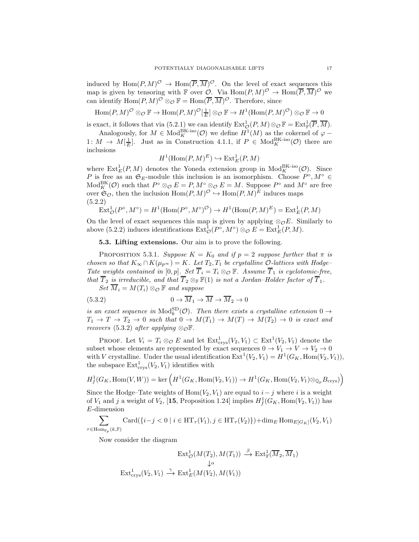induced by  $\text{Hom}(P, M)^\mathcal{O} \to \text{Hom}(\overline{P}, \overline{M})^\mathcal{O}$ . On the level of exact sequences this map is given by tensoring with F over  $\mathcal{O}$ . Via  $\text{Hom}(P, M)$ <sup> $\mathcal{O} \to \text{Hom}(\overline{P}, \overline{M})$ <sup> $\mathcal{O}$ </sup> we</sup> can identify  $\text{Hom}(P, M)^\mathcal{O} \otimes_\mathcal{O} \mathbb{F} = \text{Hom}(\overline{P}, \overline{M})^\mathcal{O}$ . Therefore, since

 $\text{Hom}(P, M)^\mathcal{O} \otimes_\mathcal{O} \mathbb{F} \to \text{Hom}(P, M)^\mathcal{O}[\frac{1}{E}] \otimes_\mathcal{O} \mathbb{F} \to H^1(\text{Hom}(P, M)^\mathcal{O}) \otimes_\mathcal{O} \mathbb{F} \to 0$ 

is exact, it follows that via [\(5.2.1\)](#page-15-2) we can identify  $\mathrm{Ext}^1_{\mathcal{O}}(P,M)\otimes_{\mathcal{O}}\mathbb{F}=\mathrm{Ext}^1_{\mathbb{F}}(\overline{P},\overline{M}).$ 

Analogously, for  $M \in Mod_K^{\text{BK-iso}}(\mathcal{O})$  we define  $H^1(M)$  as the cokernel of  $\varphi$  – 1:  $M \to M[\frac{1}{E}]$ . Just as in Construction [4.1.1,](#page-12-2) if  $P \in Mod_K^{\text{BK-iso}}(\mathcal{O})$  there are inclusions

$$
H^1(\text{Hom}(P,M)^E) \hookrightarrow \text{Ext}^1_E(P,M)
$$

where  $\text{Ext}_{E}^{1}(P, M)$  denotes the Yoneda extension group in  $\text{Mod}_{K}^{\text{BK-iso}}(\mathcal{O})$ . Since P is free as an  $\mathfrak{S}_E$ -module this inclusion is an isomorphism. Choose  $P^{\circ}, M^{\circ} \in$  $Mod_K^{BK}(\mathcal{O})$  such that  $P^{\circ} \otimes_{\mathcal{O}} E = P, M^{\circ} \otimes_{\mathcal{O}} E = M$ . Suppose  $P^{\circ}$  and  $M^{\circ}$  are free over  $\mathfrak{S}_{\mathcal{O}}$ , then the inclusion  $\text{Hom}(P, M)$ <sup> $\mathcal{O} \hookrightarrow \text{Hom}(P, M)$ <sup>E</sup> induces maps</sup> (5.2.2)

<span id="page-16-0"></span>
$$
\operatorname{Ext}^1_{\mathcal{O}}(P^{\circ}, M^{\circ}) = H^1(\operatorname{Hom}(P^{\circ}, M^{\circ})^{\mathcal{O}}) \to H^1(\operatorname{Hom}(P, M)^E) = \operatorname{Ext}^1_E(P, M)
$$

On the level of exact sequences this map is given by applying  $\otimes_{\mathcal{O}} E$ . Similarly to above [\(5.2.2\)](#page-16-0) induces identifications  $\text{Ext}^1_{\mathcal{O}}(P^{\circ}, M^{\circ}) \otimes_{\mathcal{O}} E = \text{Ext}^1_E(P, M)$ .

5.3. Lifting extensions. Our aim is to prove the following.

<span id="page-16-2"></span>PROPOSITION 5.3.1. Suppose  $K = K_0$  and if  $p = 2$  suppose further that  $\pi$  is chosen so that  $K_{\infty} \cap K(\mu_{p^{\infty}}) = K$ . Let  $T_2, T_1$  be crystalline  $\mathcal{O}\text{-}lattices$  with Hodge– Tate weights contained in [0, p]. Set  $\overline{T}_i = T_i \otimes_{\mathcal{O}} \mathbb{F}$ . Assume  $\overline{T}_1$  is cyclotomic-free, that  $\overline{T}_2$  is irreducible, and that  $\overline{T}_2 \otimes_{\mathbb{F}} \mathbb{F}(1)$  is not a Jordan–Holder factor of  $\overline{T}_1$ .

<span id="page-16-1"></span> $Set \overline{M}_i = M(T_i) \otimes_{\mathcal{O}} \mathbb{F}$  and suppose

(5.3.2) 
$$
0 \to \overline{M}_1 \to \overline{M} \to \overline{M}_2 \to 0
$$

is an exact sequence in  $\text{Mod}_k^{\text{SD}}(\mathcal{O})$ . Then there exists a crystalline extension  $0 \to$  $T_1 \rightarrow T \rightarrow T_2 \rightarrow 0$  such that  $0 \rightarrow M(T_1) \rightarrow M(T) \rightarrow M(T_2) \rightarrow 0$  is exact and recovers [\(5.3.2\)](#page-16-1) after applying ⊗ $\circ \mathbb{F}$ .

PROOF. Let  $V_i = T_i \otimes_{\mathcal{O}} E$  and let  $\text{Ext}^1_{\text{crys}}(V_2, V_1) \subset \text{Ext}^1(V_2, V_1)$  denote the subset whose elements are represented by exact sequences  $0 \to V_1 \to V \to V_2 \to 0$ with V crystalline. Under the usual identification  $\text{Ext}^1(V_2, V_1) = H^1(G_K, \text{Hom}(V_2, V_1)),$ the subspace  $\text{Ext}^1_{\text{crys}}(V_2, V_1)$  identifies with

$$
H^1_f(G_K,\mathrm{Hom}(V,W))=\ker\Big(H^1(G_K,\mathrm{Hom}(V_2,V_1))\to H^1(G_K,\mathrm{Hom}(V_2,V_1)\otimes_{\mathbb{Q}_p} B_{\mathrm{crys}})\Big)
$$

Since the Hodge–Tate weights of  $\text{Hom}(V_2, V_1)$  are equal to  $i - j$  where i is a weight of  $V_1$  and j a weight of  $V_2$ , [[15](#page-25-19), Proposition 1.24] implies  $H^1_f(G_K, \text{Hom}(V_2, V_1))$  has E-dimension

$$
\sum_{\tau \in \text{Hom}_{\mathbb{F}_p}(k,\mathbb{F})} \text{Card}(\{i-j < 0 \mid i \in \text{HT}_{\tau}(V_1), j \in \text{HT}_{\tau}(V_2)\}) + \dim_E \text{Hom}_{E[G_K]}(V_2, V_1)
$$

Now consider the diagram

$$
\operatorname{Ext}^1_{\mathcal{O}}(M(T_2), M(T_1)) \xrightarrow{\beta} \operatorname{Ext}^1_{\mathbb{F}}(\overline{M}_2, \overline{M}_1)
$$
  

$$
\downarrow^{\alpha}
$$
  

$$
\operatorname{Ext}^1_{\operatorname{crys}}(V_2, V_1) \xrightarrow{\gamma} \operatorname{Ext}^1_{\mathcal{E}}(M(V_2), M(V_1))
$$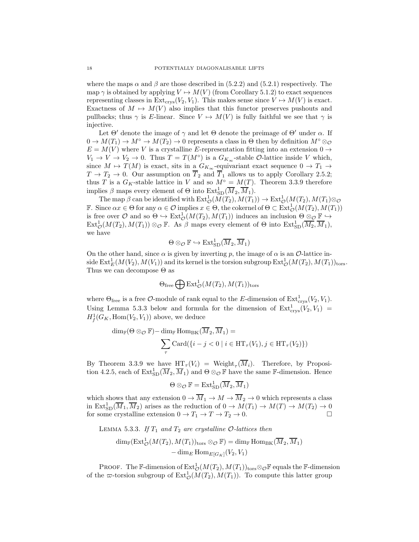where the maps  $\alpha$  and  $\beta$  are those described in [\(5.2.2\)](#page-16-0) and [\(5.2.1\)](#page-15-2) respectively. The map  $\gamma$  is obtained by applying  $V \mapsto M(V)$  (from Corollary [5.1.2\)](#page-15-3) to exact sequences representing classes in  $Ext_{\text{crys}}(V_2, V_1)$ . This makes sense since  $V \mapsto M(V)$  is exact. Exactness of  $M \mapsto M(V)$  also implies that this functor preserves pushouts and pullbacks; thus  $\gamma$  is E-linear. Since  $V \mapsto M(V)$  is fully faithful we see that  $\gamma$  is injective.

Let  $\Theta'$  denote the image of  $\gamma$  and let  $\Theta$  denote the preimage of  $\Theta'$  under  $\alpha$ . If  $0 \to M(T_1) \to M^{\circ} \to M(T_2) \to 0$  represents a class in  $\Theta$  then by definition  $M^{\circ} \otimes_{\mathcal{O}}$  $E = M(V)$  where V is a crystalline E-representation fitting into an extension  $0 \rightarrow$  $V_1 \rightarrow V \rightarrow V_2 \rightarrow 0$ . Thus  $T = T(M^{\circ})$  is a  $G_{K_{\infty}}$ -stable  $\mathcal{O}$ -lattice inside V which, since  $M \mapsto T(M)$  is exact, sits in a  $G_{K_{\infty}}$ -equivariant exact sequence  $0 \to T_1 \to$  $T \to T_2 \to 0$ . Our assumption on  $\overline{T}_2$  and  $\overline{T}_1$  allows us to apply Corollary [2.5.2;](#page-7-2) thus T is a  $G_K$ -stable lattice in V and so  $M^\circ = M(T)$ . Theorem [3.3.9](#page-11-1) therefore implies  $\beta$  maps every element of  $\Theta$  into  $\text{Ext}_{SD}^1(\overline{M}_2, \overline{M}_1)$ .

The map  $\beta$  can be identified with  $\mathrm{Ext}^1_{\mathcal{O}}(M(T_2), M(T_1)) \to \mathrm{Ext}^1_{\mathcal{O}}(M(T_2), M(T_1) \otimes_{\mathcal{O}}$ **F**. Since  $\alpha x \in \Theta$  for any  $\alpha \in \mathcal{O}$  implies  $x \in \Theta$ , the cokernel of  $\Theta \subset \text{Ext}^1_{\mathcal{O}}(M(T_2), M(T_1))$ is free over  $\mathcal O$  and so  $\Theta \hookrightarrow \text{Ext}^1_{\mathcal O}(M(T_2), M(T_1))$  induces an inclusion  $\Theta \otimes_{\mathcal O} \mathbb{F} \hookrightarrow$  $\text{Ext}^1_{\mathcal{O}}(M(T_2), M(T_1)) \otimes_{\mathcal{O}} \mathbb{F}$ . As  $\beta$  maps every element of  $\Theta$  into  $\text{Ext}^1_{\text{SD}}(\overline{M_2}, \overline{M}_1)$ , we have

$$
\Theta \otimes_{\mathcal{O}} \mathbb{F} \hookrightarrow \text{Ext}^1_{\text{SD}}(\overline{M}_2, \overline{M}_1)
$$

On the other hand, since  $\alpha$  is given by inverting p, the image of  $\alpha$  is an O-lattice inside  $\mathrm{Ext}^1_E(M(V_2), M(V_1))$  and its kernel is the torsion subgroup  $\mathrm{Ext}^1_\mathcal{O}(M(T_2), M(T_1))_{\mathrm{tors}}$ . Thus we can decompose  $\Theta$  as

$$
\Theta_{\text{free}} \bigoplus \text{Ext}^1_{\mathcal{O}}(M(T_2), M(T_1))_{\text{tors}}
$$

where  $\Theta_{\text{free}}$  is a free  $\mathcal{O}\text{-module}$  of rank equal to the E-dimension of  $\text{Ext}^1_{\text{crys}}(V_2, V_1)$ . Using Lemma [5.3.3](#page-17-0) below and formula for the dimension of  $\text{Ext}^1_{\text{crys}}(V_2, V_1)$  $H_f^1(G_K, \text{Hom}(V_2, V_1))$  above, we deduce

$$
\dim_{\mathbb{F}}(\Theta \otimes_{\mathcal{O}} \mathbb{F}) - \dim_{\mathbb{F}} \text{Hom}_{\text{BK}}(\overline{M}_2, \overline{M}_1) = \sum_{\tau} \text{Card}(\{i - j < 0 \mid i \in \text{HT}_{\tau}(V_1), j \in \text{HT}_{\tau}(V_2)\})
$$

By Theorem [3.3.9](#page-11-1) we have  $HT_{\tau}(V_i) = \text{Weight}_{\tau}(M_i)$ . Therefore, by Proposi-tion [4.2.5,](#page-14-2) each of  $\text{Ext}_{SD}^{1}(\overline{M}_2, \overline{M}_1)$  and  $\Theta \otimes_{\mathcal{O}} \mathbb{F}$  have the same  $\mathbb{F}\text{-dimension}$ . Hence

$$
\Theta \otimes_{\mathcal{O}} \mathbb{F} = \text{Ext}_{\text{SD}}^1(\overline{M}_2, \overline{M}_1)
$$

which shows that any extension  $0 \to \overline{M}_1 \to M \to \overline{M}_2 \to 0$  which represents a class in  $Ext^1_{SD}(\overline{M}_1, \overline{M}_2)$  arises as the reduction of  $0 \to M(T_1) \to M(T) \to M(T_2) \to 0$ for some crystalline extension  $0 \to T_1 \to T \to T_2 \to 0$ .

<span id="page-17-0"></span>LEMMA 5.3.3. If 
$$
T_1
$$
 and  $T_2$  are crystalline O-lattices then  
\n
$$
\dim_{\mathbb{F}}(\operatorname{Ext}^1_{\mathcal{O}}(M(T_2), M(T_1))_{\text{tors}} \otimes_{\mathcal{O}} \mathbb{F}) = \dim_{\mathbb{F}} \operatorname{Hom}_{\operatorname{BK}}(\overline{M}_2, \overline{M}_1) - \dim_{\mathbb{F}} \operatorname{Hom}_{\operatorname{EG}_{K}}(V_2, V_1)
$$

PROOF. The F-dimension of  $\mathrm{Ext}^1_{\mathcal{O}}(M(T_2), M(T_1))_{\mathrm{tors}} \otimes_{\mathcal{O}} \mathbb{F}$  equals the F-dimension of the  $\varpi$ -torsion subgroup of  $\text{Ext}^1_{\mathcal{O}}(M(T_2), M(T_1))$ . To compute this latter group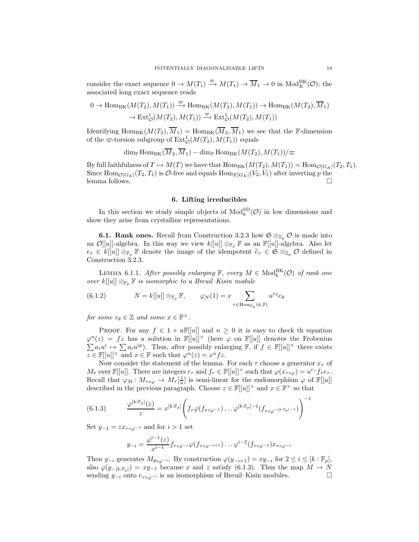consider the exact sequence  $0 \to M(T_1) \xrightarrow{\varpi} M(T_1) \to \overline{M}_1 \to 0$  in  $\text{Mod}_{K}^{\text{BK}}(\mathcal{O})$ ; the associated long exact sequence reads

$$
0 \to \text{Hom}_{\text{BK}}(M(T_2), M(T_1)) \xrightarrow{\varpi} \text{Hom}_{\text{BK}}(M(T_2), M(T_1)) \to \text{Hom}_{\text{BK}}(M(T_2), \overline{M}_1)
$$

$$
\to \text{Ext}^1_{\mathcal{O}}(M(T_2), M(T_1)) \xrightarrow{\varpi} \text{Ext}^1_{\mathcal{O}}(M(T_2), M(T_1))
$$

Identifying  $\text{Hom}_{BK}(M(T_2), \overline{M}_1) = \text{Hom}_{BK}(\overline{M}_2, \overline{M}_1)$  we see that the F-dimension of the  $\varpi$ -torsion subgroup of  $\mathrm{Ext}^1_{\mathcal{O}}(M(T_2), M(T_1))$  equals

$$
\dim_{\mathbb{F}} \mathrm{Hom}_{\mathrm{BK}}(\overline{M}_2, \overline{M}_1) - \dim_{\mathbb{F}} \mathrm{Hom}_{\mathrm{BK}}(M(T_2), M(T_1))/\varpi
$$

By full faithfulness of  $T \mapsto M(T)$  we have that  $\text{Hom}_{BK}(M(T_2), M(T_1)) = \text{Hom}_{\mathcal{O}[G_K]}(T_2, T_1)$ . Since  $\text{Hom}_{\mathcal{O}[G_K]}(T_2, T_1)$  is  $\mathcal{O}\text{-free}$  and equals  $\text{Hom}_{E[G_K]}(V_2, V_1)$  after inverting p the lemma follows.  $\Box$ 

## 6. Lifting irreducibles

<span id="page-18-0"></span>In this section we study simple objects of  $\text{Mod}_{k}^{\text{SD}}(\mathcal{O})$  in low dimensions and show they arise from crystalline representations.

**6.1. Rank ones.** Recall from Construction [3.2.3](#page-9-1) how  $\mathfrak{S} \otimes_{\mathbb{Z}_p} \mathcal{O}$  is made into an  $\mathcal{O}[[u]]$ -algebra. In this way we view  $k[[u]] \otimes_{\mathbb{F}_p} \mathbb{F}$  as an  $\mathbb{F}[[u]]$ -algebra. Also let  $e_{\tau} \in k[[u]] \otimes_{\mathbb{F}_p} \mathbb{F}$  denote the image of the idempotent  $\widetilde{e}_{\tau} \in \mathfrak{S} \otimes_{\mathbb{Z}_p} \mathcal{O}$  defined in Construction [3.2.3.](#page-9-1)

LEMMA 6.1.1. After possibly enlarging  $\mathbb{F}$ , every  $M \in Mod_k^{BK}(\mathcal{O})$  of rank one over  $k[[u]] \otimes_{\mathbb{F}_p} \mathbb{F}$  is isomorphic to a Breuil–Kisin module

<span id="page-18-2"></span>(6.1.2) 
$$
N = k[[u]] \otimes_{\mathbb{F}_p} \mathbb{F}, \qquad \varphi_N(1) = x \sum_{\tau \in \text{Hom}_{\mathbb{F}_p}(k, \mathbb{F})} u^{r_\theta} e_\theta
$$

for some  $r_{\theta} \in \mathbb{Z}$  and some  $x \in \mathbb{F}^{\times}$ .

PROOF. For any  $f \in 1 + u\mathbb{F}[u]$  and  $n \geq 0$  it is easy to check the equation  $\varphi^{n}(z) = fz$  has a solution in  $\mathbb{F}[[u]]^{\times}$  (here  $\varphi$  on  $\mathbb{F}[[u]]$  denotes the Frobenius  $\sum a_i u^i \mapsto \sum a_i u^{ip}$ . Thus, after possibly enlarging  $\mathbb{F}$ , if  $f \in \mathbb{F}[[u]]^{\times}$  there exists  $z \in \mathbb{F}[[u]]^{\times}$  and  $x \in \mathbb{F}$  such that  $\varphi^{n}(z) = x^{n} f z$ .

Now consider the statement of the lemma. For each  $\tau$  choose a generator  $x_{\tau}$  of  $M_{\tau}$  over  $\mathbb{F}[[u]]$ . There are integers  $r_{\tau}$  and  $f_{\tau} \in \mathbb{F}[[u]]^{\times}$  such that  $\varphi(x_{\tau \circ \varphi}) = u^{r_{\tau}} f_{\tau} e_{\tau}$ . Recall that  $\varphi_M\colon M_{\tau\circ\varphi}\to M_\tau[\frac{1}{u}]$  is semi-linear for the endomorphism  $\varphi$  of  $\mathbb{F}[[u]]$ described in the previous paragraph. Choose  $z \in \mathbb{F}[[u]]^{\times}$  and  $x \in \mathbb{F}^{\times}$  so that

(6.1.3) 
$$
\frac{\varphi^{[k:\mathbb{F}_p]}(z)}{z} = x^{[k:\mathbb{F}_p]} \left( f_\tau \varphi(f_{\tau \circ \varphi^{-1}}) \dots \varphi^{[k:\mathbb{F}_p]-1} (f_{\tau \circ \varphi^{-[k:\mathbb{F}_p]-1}}) \right)^{-1}
$$

Set  $y_{-1} = zx_{\tau \circ \varphi^{-1}}$  and for  $i > 1$  set

<span id="page-18-1"></span>
$$
y_{-i} = \frac{\varphi^{i-1}(z)}{x^{i-1}} f_{\tau \circ \varphi^{-i}} \varphi(f_{\tau \circ \varphi^{-i+1}}) \dots \varphi^{i-2}(f_{\tau \circ \varphi^{-2}}) x_{\tau \circ \varphi^{-i}}
$$

Then  $y_{-i}$  generates  $M_{\theta \circ \varphi^{-i}}$ . By construction  $\varphi(y_{-i+1}) = xy_{-i}$  for  $2 \le i \le [k : \mathbb{F}_p]$ , also  $\varphi(y_{-[k:\mathbb{F}_p]}) = xy_{-1}$  because x and z satisfy [\(6.1.3\)](#page-18-1). Thus the map  $M \to N$ sending  $y_{-i}$  onto  $e_{\tau \circ \varphi^{-i}}$  is an isomorphism of Breuil–Kisin modules.  $□$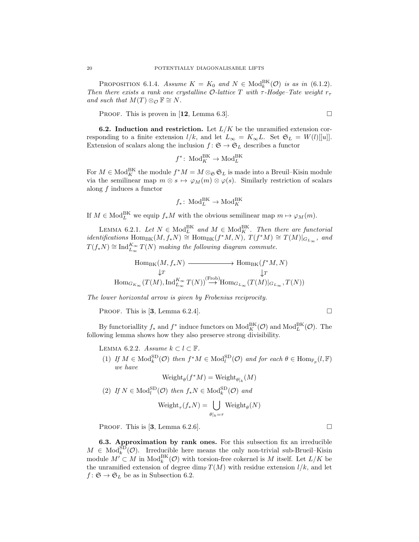<span id="page-19-3"></span>PROPOSITION 6.1.4. Assume  $K = K_0$  and  $N \in Mod_k^{\text{BK}}(\mathcal{O})$  is as in [\(6.1.2\)](#page-18-2). Then there exists a rank one crystalline O-lattice T with  $\tau$ -Hodge–Tate weight  $r_{\tau}$ and such that  $M(T) \otimes_{\mathcal{O}} \mathbb{F} \cong N$ .

PROOF. This is proven in [[12](#page-25-5), Lemma 6.3].

<span id="page-19-0"></span>**6.2.** Induction and restriction. Let  $L/K$  be the unramified extension corresponding to a finite extension  $l/k$ , and let  $L_{\infty} = K_{\infty}L$ . Set  $\mathfrak{S}_L = W(l)[[u]]$ . Extension of scalars along the inclusion  $f\colon \mathfrak{S} \to \mathfrak{S}_L$  describes a functor

$$
f^*
$$
: Mod<sub>K</sub><sup>BK</sup>  $\rightarrow$  Mod<sub>L</sub><sup>BK</sup>

For  $M \in \text{Mod}_{K}^{\text{BK}}$  the module  $f^*M = M \otimes_{\mathfrak{S}} \mathfrak{S}_L$  is made into a Breuil–Kisin module via the semilinear map  $m \otimes s \mapsto \varphi_M(m) \otimes \varphi(s)$ . Similarly restriction of scalars along  $f$  induces a functor

$$
f_*\colon \operatorname{Mod}^{\operatorname{BK}}_L \to \operatorname{Mod}^{\operatorname{BK}}_K
$$

If  $M \in Mod_L^{\text{BK}}$  we equip  $f_*M$  with the obvious semilinear map  $m \mapsto \varphi_M(m)$ .

<span id="page-19-1"></span>LEMMA 6.2.1. Let  $N \in Mod_L^{\text{BK}}$  and  $M \in Mod_K^{\text{BK}}$ . Then there are functorial *identifications* Hom<sub>BK</sub> $(M, f_*N) \cong \text{Hom}_{BK}(f^*M, N), T(f^*M) \cong T(M)|_{G_{L_\infty}},$  and  $T(f_*N) \cong \text{Ind}_{L_{\infty}}^{K_{\infty}} T(N)$  making the following diagram commute.

$$
\operatorname{Hom}_{\operatorname{BK}}(M, f_*N) \xrightarrow[\downarrow T]{} \operatorname{Hom}_{\operatorname{BK}}(f^*M, N)
$$
  
\n
$$
\downarrow T
$$
  
\n
$$
\operatorname{Hom}_{G_{K_{\infty}}}(T(M), \operatorname{Ind}_{L_{\infty}}^{K_{\infty}} T(N)) \xrightarrow{(\operatorname{Frob})} \operatorname{Hom}_{G_{L_{\infty}}}(T(M)|_{G_{L_{\infty}}}, T(N))
$$

The lower horizontal arrow is given by Frobenius reciprocity.

PROOF. This is [[3](#page-25-8), Lemma 6.2.4].

By functoriallity  $f_*$  and  $f^*$  induce functors on  $\text{Mod}_K^{\text{BK}}(\mathcal{O})$  and  $\text{Mod}_L^{\text{BK}}(\mathcal{O})$ . The following lemma shows how they also preserve strong divisibility.

<span id="page-19-2"></span>LEMMA 6.2.2. Assume  $k \subset l \subset \mathbb{F}$ .

(1) If  $M \in \text{Mod}_k^{\text{SD}}(\mathcal{O})$  then  $f^*M \in \text{Mod}_l^{\text{SD}}(\mathcal{O})$  and for each  $\theta \in \text{Hom}_{\mathbb{F}_p}(l, \mathbb{F})$ we have

$$
Weight_{\theta}(f^*M) = Weight_{\theta|_k}(M)
$$

(2) If  $N \in Mod_l^{\text{SD}}(\mathcal{O})$  then  $f_*N \in Mod_k^{\text{SD}}(\mathcal{O})$  and

$$
\operatorname{Weight}_{\tau}(f_*N) = \bigcup_{\theta|_k = \tau} \operatorname{Weight}_{\theta}(N)
$$

PROOF. This is [[3](#page-25-8), Lemma 6.2.6].

6.3. Approximation by rank ones. For this subsection fix an irreducible  $M \in Mod_k^{\text{SD}}(\mathcal{O})$ . Irreducible here means the only non-trivial sub-Brueil–Kisin module  $M' \subset M$  in  $\text{Mod}_{k}^{\text{BK}}(\mathcal{O})$  with torsion-free cokernel is M itself. Let  $L/K$  be the unramified extension of degree dim<sub>F</sub>  $T(M)$  with residue extension  $l/k$ , and let  $f: \mathfrak{S} \to \mathfrak{S}_L$  be as in Subsection [6.2.](#page-19-0)

$$
\sqcup
$$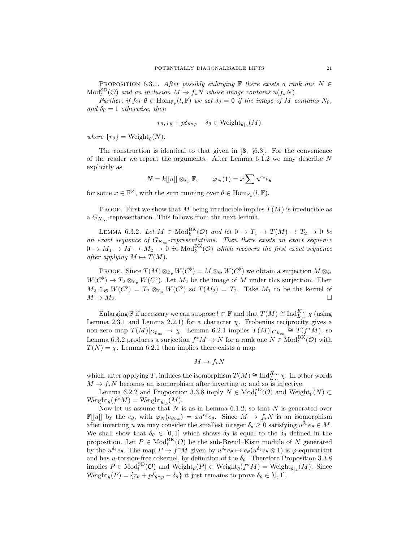<span id="page-20-1"></span>PROPOSITION 6.3.1. After possibly enlarging  $\mathbb F$  there exists a rank one  $N \in$  $\text{Mod}_{l}^{\text{SD}}(\mathcal{O})$  and an inclusion  $M \to f_*N$  whose image contains  $u(f_*N)$ .

Further, if for  $\theta \in \text{Hom}_{\mathbb{F}_p}(l, \mathbb{F})$  we set  $\delta_{\theta} = 0$  if the image of M contains  $N_{\theta}$ , and  $\delta_{\theta} = 1$  otherwise, then

$$
r_{\theta}, r_{\theta} + p\delta_{\theta \circ \varphi} - \delta_{\theta} \in Weight_{\theta|_k}(M)
$$

where  $\{r_{\theta}\} = \text{Weight}_{\theta}(N)$ .

The construction is identical to that given in  $[3, \S 6.3]$  $[3, \S 6.3]$  $[3, \S 6.3]$ . For the convenience of the reader we repeat the arguments. After Lemma  $6.1.2$  we may describe N explicitly as

$$
N = k[[u]] \otimes_{\mathbb{F}_p} \mathbb{F}, \qquad \varphi_N(1) = x \sum u^{r_\theta} e_\theta
$$

for some  $x \in \mathbb{F}^{\times}$ , with the sum running over  $\theta \in \text{Hom}_{\mathbb{F}_p}(l, \mathbb{F})$ .

**PROOF.** First we show that M being irreducible implies  $T(M)$  is irreducible as a  $G_{K_{\infty}}$ -representation. This follows from the next lemma.

<span id="page-20-0"></span>LEMMA 6.3.2. Let  $M \in Mod_k^{\text{BK}}(\mathcal{O})$  and let  $0 \to T_1 \to T(M) \to T_2 \to 0$  be an exact sequence of  $G_{K_{\infty}}$ -representations. Then there exists an exact sequence  $0 \to M_1 \to M \to M_2 \to 0$  in  $\text{Mod}_k^{\text{BK}}(\mathcal{O})$  which recovers the first exact sequence after applying  $M \mapsto T(M)$ .

PROOF. Since  $T(M) \otimes_{\mathbb{Z}_p} W(C^{\flat}) = M \otimes_{\mathfrak{S}} W(C^{\flat})$  we obtain a surjection  $M \otimes_{\mathfrak{S}}$  $W(C^{\flat}) \to T_2 \otimes_{\mathbb{Z}_p} W(C^{\flat})$ . Let  $M_2$  be the image of M under this surjection. Then  $M_2 \otimes_{\mathfrak{S}} W(C^{\flat}) = T_2 \otimes_{\mathbb{Z}_p} W(C^{\flat})$  so  $T(M_2) = T_2$ . Take  $M_1$  to be the kernel of  $M \to M_2$ .

Enlarging F if necessary we can suppose  $l \subset \mathbb{F}$  and that  $T(M) \cong \text{Ind}_{L_{\infty}}^{K_{\infty}} \chi$  (using Lemma [2.3.1](#page-4-3) and Lemma [2.2.1\)](#page-4-1) for a character  $\chi$ . Frobenius reciprocity gives a non-zero map  $T(M)|_{G_{L_{\infty}}} \to \chi$ . Lemma [6.2.1](#page-19-1) implies  $T(M)|_{G_{L_{\infty}}}\cong T(f^*M)$ , so Lemma [6.3.2](#page-20-0) produces a surjection  $f^*M \to N$  for a rank one  $N \in Mod_l^{\text{BK}}(\mathcal{O})$  with  $T(N) = \chi$ . Lemma [6.2.1](#page-19-1) then implies there exists a map

$$
M\to f_*N
$$

which, after applying T, induces the isomorphism  $T(M) \cong \text{Ind}_{L_{\infty}}^{K_{\infty}} \chi$ . In other words  $M \to f_*N$  becomes an isomorphism after inverting u; and so is injective.

Lemma [6.2.2](#page-19-2) and Proposition [3.3.8](#page-11-4) imply  $N \in Mod_l^{\text{SD}}(\mathcal{O})$  and  $\text{Weight}_{\theta}(N) \subset$  $Weight_{\theta}(f^*M) = Weight_{\theta|_k}(M).$ 

Now let us assume that  $N$  is as in Lemma [6.1.2,](#page-18-2) so that  $N$  is generated over  $\mathbb{F}[[u]]$  by the  $e_{\theta}$ , with  $\varphi_N(e_{\theta \circ \varphi}) = xu^{\tau_{\theta}} e_{\theta}$ . Since  $M \to f_*N$  is an isomorphism after inverting u we may consider the smallest integer  $\delta_{\theta} \geq 0$  satisfying  $u^{\delta_{\theta}} e_{\theta} \in M$ . We shall show that  $\delta_{\theta} \in [0, 1]$  which shows  $\delta_{\theta}$  is equal to the  $\delta_{\theta}$  defined in the proposition. Let  $P \in Mod_l^{\text{BK}}(\mathcal{O})$  be the sub-Breuil–Kisin module of N generated by the  $u^{\delta_{\theta}}e_{\theta}$ . The map  $P \to f^*M$  given by  $u^{\delta_{\theta}}e_{\theta} \mapsto e_{\theta}(u^{\delta_{\theta}}e_{\theta} \otimes 1)$  is  $\varphi$ -equivariant and has u-torsion-free cokernel, by definition of the  $\delta_{\theta}$ . Therefore Proposition [3.3.8](#page-11-4) implies  $P \in Mod_l^{SD}(\mathcal{O})$  and  $Weight_{\theta}(P) \subset Weight_{\theta}(f^*M) = Weight_{\theta|_k}(M)$ . Since  $Weight_{\theta}(P) = \{r_{\theta} + p\delta_{\theta \circ \varphi} - \delta_{\theta}\}\$ it just remains to prove  $\delta_{\theta} \in [0, 1].$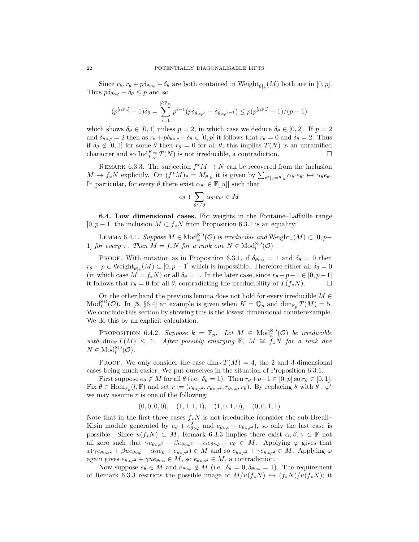Since  $r_{\theta}, r_{\theta} + p \delta_{\theta \circ \varphi} - \delta_{\theta}$  are both contained in Weight<sub> $\theta|_k(M)$ </sub> both are in  $[0, p]$ . Thus  $p\delta_{\theta \circ \varphi} - \delta_{\theta} \leq p$  and so

$$
(p^{[l:\mathbb{F}_p]}-1)\delta_{\theta}=\sum_{i=1}^{[l:\mathbb{F}_p]}p^{i-1}(p\delta_{\theta\circ\varphi^i}-\delta_{\theta\circ\varphi^{i-1}})\leq p(p^{[l:\mathbb{F}_p]}-1)/(p-1)
$$

which shows  $\delta_{\theta} \in [0, 1]$  unless  $p = 2$ , in which case we deduce  $\delta_{\theta} \in [0, 2]$ . If  $p = 2$ and  $\delta_{\theta \circ \varphi} = 2$  then as  $r_{\theta} + p \delta_{\theta \circ \varphi} - \delta_{\theta} \in [0, p]$  it follows that  $r_{\theta} = 0$  and  $\delta_{\theta} = 2$ . Thus if  $\delta_{\theta} \notin [0,1]$  for some  $\theta$  then  $r_{\theta} = 0$  for all  $\theta$ ; this implies  $T(N)$  is an unramified character and so  $\text{Ind}_{L_{\infty}}^{K_{\infty}} T(N)$  is not irreducible, a contradiction.

<span id="page-21-0"></span>REMARK 6.3.3. The surjection  $f^*M \to N$  can be recovered from the inclusion  $M \to f_*N$  explicitly. On  $(f^*M)_{\theta} = M_{\theta|_k}$  it is given by  $\sum_{\theta'|_k = \theta|_k} \alpha_{\theta'} e_{\theta'} \mapsto \alpha_{\theta} e_{\theta}$ . In particular, for every  $\theta$  there exist  $\alpha_{\theta'} \in \mathbb{F}[[u]]$  such that

$$
e_{\theta} + \sum_{\theta' \neq \theta} \alpha_{\theta'} e_{\theta'} \in M
$$

6.4. Low dimensional cases. For weights in the Fontaine–Laffaille range  $[0, p - 1]$  the inclusion  $M \subset f_*N$  from Proposition [6.3.1](#page-20-1) is an equality:

<span id="page-21-1"></span>LEMMA 6.4.1. Suppose  $M \in Mod_k^{\text{SD}}(\mathcal{O})$  is irreducible and  $\text{Weight}_{\tau}(M) \subset [0, p-$ 1] for every  $\tau$ . Then  $M = f_*N$  for a rank one  $N \in Mod_l^{SD}(\mathcal{O})$ 

PROOF. With notation as in Proposition [6.3.1,](#page-20-1) if  $\delta_{\theta \circ \varphi} = 1$  and  $\delta_{\theta} = 0$  then  $r_{\theta} + p \in \text{Weight}_{\theta|_k}(M) \subset [0, p-1]$  which is impossible. Therefore either all  $\delta_{\theta} = 0$ (in which case  $M = f_*N$ ) or all  $\delta_\theta = 1$ . In the later case, since  $r_\theta + p-1 \in [0, p-1]$ it follows that  $r_{\theta} = 0$  for all  $\theta$ , contradicting the irreducibility of  $T(f_*N)$ .

On the other hand the previous lemma does not hold for every irreducible  $M \in$  $\text{Mod}_{k}^{\text{SD}}(\mathcal{O})$ . In [[3](#page-25-8), §6.4] an example is given when  $K = \mathbb{Q}_p$  and  $\dim_{\mathbb{F}_p} T(M) = 5$ . We conclude this section by showing this is the lowest dimensional counterexample. We do this by an explicit calculation.

<span id="page-21-2"></span>**PROPOSITION** 6.4.2. Suppose  $k = \mathbb{F}_p$ . Let  $M \in Mod_k^{\text{SD}}(\mathcal{O})$  be irreducible with dim<sub>F</sub>  $T(M) \leq 4$ . After possibly enlarging F,  $M \cong f_*N$  for a rank one  $N \in \text{Mod}_l^{\text{SD}}(\mathcal{O}).$ 

PROOF. We only consider the case dim<sub>F</sub>  $T(M) = 4$ , the 2 and 3-dimensional cases being much easier. We put ourselves in the situation of Proposition [6.3.1.](#page-20-1)

First suppose  $e_{\theta} \notin M$  for all  $\theta$  (i.e.  $\delta_{\theta} = 1$ ). Then  $r_{\theta} + p - 1 \in [0, p]$  so  $r_{\theta} \in [0, 1]$ . Fix  $\theta \in \text{Hom}_{\mathbb{F}_p}(l,\mathbb{F})$  and set  $r := (r_{\theta \circ \varphi^3}, r_{\theta \circ \varphi^2}, r_{\theta \circ \varphi}, r_{\theta})$ . By replacing  $\theta$  with  $\theta \circ \varphi^i$ we may assume  $r$  is one of the following:

$$
(0,0,0,0), (1,1,1,1), (1,0,1,0), (0,0,1,1)
$$

Note that in the first three cases  $f_*N$  is not irreducible (consider the sub-Breuil– Kisin module generated by  $e_{\theta} + e_{\theta \circ \varphi}^2$  and  $e_{\theta \circ \varphi} + e_{\theta \circ \varphi^3}$ , so only the last case is possible. Since  $u(f_*N) \subset M$ , Remark [6.3.3](#page-21-0) implies there exist  $\alpha, \beta, \gamma \in \mathbb{F}$  not all zero such that  $\gamma e_{\theta \circ \varphi^3} + \beta e_{\theta \circ \varphi^2} + \alpha e_{\theta \circ \varphi} + e_{\theta} \in M$ . Applying  $\varphi$  gives that  $x(\gamma e_{\theta \circ \varphi^2} + \beta u e_{\theta \circ \varphi} + \alpha u e_{\theta} + e_{\theta \circ \varphi^3}) \in M$  and so  $e_{\theta \circ \varphi^3} + \gamma e_{\theta \circ \varphi^2} \in M$ . Applying  $\varphi$ again gives  $e_{\theta \circ \varphi^2} + \gamma u e_{\theta \circ \varphi} \in M$ , so  $e_{\theta \circ \varphi^2} \in M$ , a contradiction.

Now suppose  $e_{\theta} \in M$  and  $e_{\theta \circ \varphi} \notin M$  (i.e.  $\delta_{\theta} = 0, \delta_{\theta \circ \varphi} = 1$ ). The requirement of Remark [6.3.3](#page-21-0) restricts the possible image of  $M/u(f_*N) \hookrightarrow (f_*N)/u(f_*N)$ ; it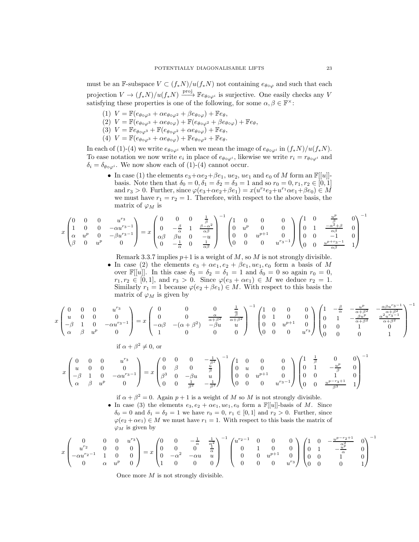must be an F-subspace  $V \subset (f_*N)/u(f_*N)$  not containing  $e_{\theta \circ \varphi}$  and such that each projection  $V \to (f_*N)/u(f_*N) \xrightarrow{\text{proj}} \mathbb{F}e_{\theta \circ \varphi^i}$  is surjective. One easily checks any V satisfying these properties is one of the following, for some  $\alpha, \beta \in \mathbb{F}^{\times}$ :

- (1)  $V = \mathbb{F}(e_{\theta \circ \varphi^3} + \alpha e_{\theta \circ \varphi^2} + \beta e_{\theta \circ \varphi}) + \mathbb{F}e_{\theta},$
- (2)  $V = \mathbb{F}(e_{\theta \circ \varphi^3} + \alpha e_{\theta \circ \varphi}) + \mathbb{F}(e_{\theta \circ \varphi^2} + \beta e_{\theta \circ \varphi}) + \mathbb{F}e_{\theta},$
- (3)  $V = \mathbb{F}e_{\theta \circ \varphi^3} + \mathbb{F}(e_{\theta \circ \varphi^2} + \alpha e_{\theta \circ \varphi}) + \mathbb{F}e_{\theta},$
- (4)  $V = \mathbb{F}(e_{\theta \circ \varphi^3} + \alpha e_{\theta \circ \varphi}) + \mathbb{F}e_{\theta \circ \varphi^2} + \mathbb{F}e_{\theta}.$

In each of (1)-(4) we write  $e_{\theta \circ \varphi^i}$  when we mean the image of  $e_{\theta \circ \varphi^i}$  in  $(f_*N)/u(f_*N)$ . To ease notation we now write  $e_i$  in place of  $e_{\theta \circ \varphi^i}$ , likewise we write  $r_i = r_{\theta \circ \varphi^i}$  and  $\delta_i = \delta_{\theta \circ \varphi^i}$ . We now show each of (1)-(4) cannot occur.

• In case (1) the elements  $e_3 + \alpha e_2 + \beta e_1$ ,  $ue_2$ ,  $ue_1$  and  $e_0$  of M form an  $\mathbb{F}[[u]]$ basis. Note then that  $\delta_0 = 0, \delta_1 = \delta_2 = \delta_3 = 1$  and so  $r_0 = 0, r_1, r_2 \in [0, 1]$ and  $r_3 > 0$ . Further, since  $\varphi(e_3 + \alpha e_2 + \beta e_1) = x(u^{r_2}e_2 + u^{r_1}\alpha e_1 + \beta e_0) \in M$ we must have  $r_1 = r_2 = 1$ . Therefore, with respect to the above basis, the matrix of  $\varphi_M$  is

$$
x \begin{pmatrix} 0 & 0 & 0 & u^{r_3} \\ 1 & 0 & 0 & -\alpha u^{r_3-1} \\ \alpha & u^p & 0 & -\beta u^{r_3-1} \\ \beta & 0 & u^p & 0 \end{pmatrix} = x \begin{pmatrix} 0 & 0 & 0 & \frac{1}{\beta} \\ 0 & -\frac{\beta}{\alpha} & 1 & \frac{\beta-\alpha^2}{\alpha\beta} \\ \alpha\beta & \beta u & 0 & -u \\ 0 & -\frac{1}{\alpha} & 0 & \frac{1}{\alpha\beta} \end{pmatrix}^{-1} \begin{pmatrix} 1 & 0 & 0 & 0 \\ 0 & u^p & 0 & 0 \\ 0 & 0 & u^{p+1} & 0 \\ 0 & 0 & 0 & u^{r_3-1} \end{pmatrix} \begin{pmatrix} 1 & 0 & \frac{u^p}{\beta} & 0 \\ 0 & 1 & \frac{-\alpha^2+\beta}{\beta} & 0 \\ 0 & 0 & -1 & 0 \\ 0 & 0 & \frac{u^{p+r_3-1}}{\alpha\beta} & 1 \end{pmatrix}^{-1}
$$

Remark [3.3.7](#page-10-1) implies  $p+1$  is a weight of M, so M is not strongly divisible.

• In case (2) the elements  $e_3 + \alpha e_1, e_2 + \beta e_1, u e_1, e_0$  form a basis of M over  $\mathbb{F}[[u]]$ . In this case  $\delta_3 = \delta_2 = \delta_1 = 1$  and  $\delta_0 = 0$  so again  $r_0 = 0$ ,  $r_1, r_2 \in [0, 1],$  and  $r_3 > 0$ . Since  $\varphi(e_3 + \alpha e_1) \in M$  we deduce  $r_2 = 1$ . Similarly  $r_1 = 1$  because  $\varphi(e_2 + \beta e_1) \in M$ . With respect to this basis the matrix of  $\varphi_M$  is given by

$$
x \begin{pmatrix} 0 & 0 & 0 & u^{r_3} \\ u & 0 & 0 & 0 \\ -\beta & 1 & 0 & -\alpha u^{r_3-1} \\ \alpha & \beta & u^p & 0 \end{pmatrix} = x \begin{pmatrix} 0 & 0 & 0 & \frac{1}{\alpha} \\ 0 & 0 & \frac{\alpha}{\alpha+\beta^2} & \frac{\beta}{\alpha+\beta^2} \\ -\alpha\beta & -(\alpha+\beta^2) & -\beta u & u \\ 1 & 0 & 0 & 0 \end{pmatrix}^{-1} \begin{pmatrix} 1 & 0 & 0 & 0 \\ 0 & 1 & 0 & 0 \\ 0 & 0 & u^{p+1} & 0 \\ 0 & 0 & 0 & u^{r_3} \end{pmatrix} \begin{pmatrix} 1 & -\frac{\beta}{\alpha} & -\frac{u^p}{\alpha+\beta^2} & -\frac{\alpha\beta u^{r_3-1}}{\alpha+\beta^2} \\ 0 & 1 & -\frac{\beta u^p}{\alpha+\beta^2} & \frac{\alpha^2 u^{r_3-1}}{\alpha+\beta^2} \\ 0 & 0 & 1 & 0 \\ 0 & 0 & 0 & 1 \end{pmatrix}^{-1}
$$

$$
x \begin{pmatrix} 0 & 0 & 0 & u^{r_3} \\ u & 0 & 0 & 0 \\ -\beta & 1 & 0 & -\alpha u^{r_3-1} \\ \alpha & \beta & u^p & 0 \end{pmatrix} = x \begin{pmatrix} 0 & 0 & 0 & -\frac{1}{\beta^2} \\ 0 & \beta & 0 & \frac{u}{\beta} \\ \beta^3 & 0 & -\beta u & u \\ 0 & 0 & \frac{1}{\beta^2} & -\frac{1}{\beta^3} \end{pmatrix}^{-1} \begin{pmatrix} 1 & 0 & 0 & 0 \\ 0 & u & 0 & 0 \\ 0 & 0 & u^{p+1} & 0 \\ 0 & 0 & 0 & u^{r_3-1} \end{pmatrix} \begin{pmatrix} 1 & \frac{1}{\beta} & 0 & 0 \\ 0 & 1 & -\frac{u^p}{\beta} & 0 \\ 0 & 0 & 1 & 0 \\ 0 & 0 & \frac{u^{p-r_3+1}}{\beta^3} & 1 \end{pmatrix}^{-1}
$$

if  $\alpha + \beta^2 = 0$ . Again  $p + 1$  is a weight of M so M is not strongly divisible. • In case (3) the elements  $e_3, e_2 + \alpha e_1, u e_1, e_0$  form a  $\mathbb{F}[[u]]$ -basis of M. Since  $\delta_0 = 0$  and  $\delta_1 = \delta_2 = 1$  we have  $r_0 = 0$ ,  $r_1 \in [0,1]$  and  $r_2 > 0$ . Further, since  $\varphi(e_2 + \alpha e_1) \in M$  we must have  $r_1 = 1$ . With respect to this basis the matrix of  $\varphi_M$  is given by

$$
x\begin{pmatrix}0&0&0&u^{r_3}\\u^{r_2}&0&0&0\\-\alpha u^{r_2-1}&1&0&0\\0&\alpha&u^p&0\end{pmatrix}=x\begin{pmatrix}0&0&-\frac{1}{\alpha}&\frac{1}{\alpha^2}\\0&0&0&\frac{1}{\alpha}\\0&-\alpha^2&-\alpha u&u\\1&0&0&0\end{pmatrix}^{-1}\begin{pmatrix}u^{r_2-1}&0&0&0\\0&1&0&0\\0&0&u^{p+1}&0\\0&0&0&u^{r_3}\end{pmatrix}\begin{pmatrix}1&0&-\frac{u^{p-r_2+1}}{\alpha^2}&0\\0&1&-\frac{u^2}{\alpha}&0\\0&0&1&0\\0&0&0&1\end{pmatrix}^{-1}
$$

Once more  $M$  is not strongly divisible.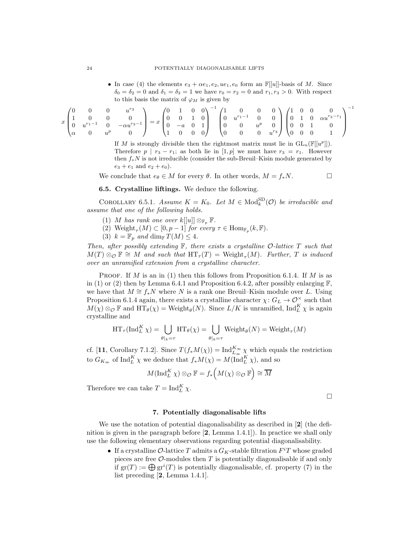• In case (4) the elements  $e_3 + \alpha e_1, e_2, ue_1, e_0$  form an  $\mathbb{F}[[u]]$ -basis of M. Since  $\delta_0 = \delta_2 = 0$  and  $\delta_1 = \delta_3 = 1$  we have  $r_0 = r_2 = 0$  and  $r_1, r_3 > 0$ . With respect to this basis the matrix of  $\varphi_M$  is given by

$$
x\begin{pmatrix}0&0&0&u^{r_3}\\1&0&0&0\\0&u^{r_1-1}&0&- \alpha u^{r_3-1}\\ \alpha&0&u^p&0\end{pmatrix}=x\begin{pmatrix}0&1&0&0\\0&0&1&0\\0&-a&0&1\\1&0&0&0\end{pmatrix}^{-1}\begin{pmatrix}1&0&0&0\\0&u^{r_1-1}&0&0\\0&0&u^p&0\\0&0&0&u^{r_3}\end{pmatrix}\begin{pmatrix}1&0&0&0\\0&1&0&\alpha u^{r_3-r_1}\\0&0&1&0\\0&0&0&1\end{pmatrix}^{-1}
$$

If M is strongly divisible then the rightmost matrix must lie in  $GL_n(\mathbb{F}[[u^p]])$ . Therefore  $p \mid r_3 - r_1$ ; as both lie in [1, p] we must have  $r_3 = r_1$ . However then  $f_*N$  is not irreducible (consider the sub-Breuil–Kisin module generated by  $e_3 + e_1$  and  $e_2 + e_0$ ).

We conclude that  $e_{\theta} \in M$  for every  $\theta$ . In other words,  $M = f_*N$ .

6.5. Crystalline liftings. We deduce the following.

<span id="page-23-1"></span>COROLLARY 6.5.1. Assume  $K = K_0$ . Let  $M \in Mod_k^{\text{SD}}(\mathcal{O})$  be irreducible and assume that one of the following holds.

- (1) M has rank one over  $k[[u]] \otimes_{\mathbb{F}_p} \mathbb{F}$ .
- (2)  $\text{Weight}_{\tau}(M) \subset [0, p-1]$  for every  $\tau \in \text{Hom}_{\mathbb{F}_p}(k, \mathbb{F})$ .
- (3)  $k = \mathbb{F}_p$  and dim<sub>F</sub>  $T(M) \leq 4$ .

Then, after possibly extending  $\mathbb{F}$ , there exists a crystalline  $\mathcal{O}\text{-lattice }T$  such that  $M(T) \otimes_{\mathcal{O}} \mathbb{F} \cong M$  and such that  $\operatorname{HT}_{\tau}(T) = \operatorname{Weight}_{\tau}(M)$ . Further, T is induced over an unramified extension from a crystalline character.

**PROOF.** If M is an in (1) then this follows from Proposition [6.1.4.](#page-19-3) If M is as in (1) or (2) then by Lemma [6.4.1](#page-21-1) and Proposition [6.4.2,](#page-21-2) after possibly enlarging  $\mathbb{F}$ , we have that  $M \cong f_*N$  where N is a rank one Breuil–Kisin module over L. Using Proposition [6.1.4](#page-19-3) again, there exists a crystalline character  $\chi: G_L \to \mathcal{O}_\mathbb{R}^\times$  such that  $M(\chi) \otimes_{\mathcal{O}} \mathbb{F}$  and  $\operatorname{HT}_{\theta}(\chi) = \text{Weight}_{\theta}(N)$ . Since  $L/K$  is unramified,  $\operatorname{Ind}_{L}^{K} \chi$  is again crystalline and

$$
\operatorname{HT}_\tau(\operatorname{Ind}_L^K \chi) = \bigcup_{\theta|_k = \tau} \operatorname{HT}_\theta(\chi) = \bigcup_{\theta|_k = \tau} \operatorname{Weight}_\theta(N) = \operatorname{Weight}_\tau(M)
$$

cf. [[11](#page-25-11), Corollary 7.1.2]. Since  $T(f_*M(\chi)) = \text{Ind}_{L_{\infty}}^{K_{\infty}} \chi$  which equals the restriction to  $G_{K_{\infty}}$  of  $\text{Ind}_{L}^{K} \chi$  we deduce that  $f_*M(\chi) = M(\text{Ind}_{L}^{K} \chi)$ , and so

$$
M(\operatorname{Ind}_{L}^{K} \chi) \otimes_{\mathcal{O}} \mathbb{F} = f_{*}\left(M(\chi) \otimes_{\mathcal{O}} \mathbb{F}\right) \cong \overline{M}
$$

<span id="page-23-0"></span>Therefore we can take  $T = \text{Ind}_{L}^{K} \chi$ .

 $\Box$ 

#### 7. Potentially diagonalisable lifts

We use the notation of potential diagonalisability as described in [[2](#page-25-1)] (the definition is given in the paragraph before [[2](#page-25-1), Lemma 1.4.1]). In practice we shall only use the following elementary observations regarding potential diagonalisability.

• If a crystalline  $\mathcal O$ -lattice  $T$  admits a  $G_K$ -stable filtration  $F^iT$  whose graded pieces are free  $\mathcal{O}$ -modules then T is potentially diagonalisable if and only if  $gr(T) := \bigoplus gr^{i}(T)$  is potentially diagonalisable, cf. property (7) in the list preceding [[2](#page-25-1), Lemma 1.4.1].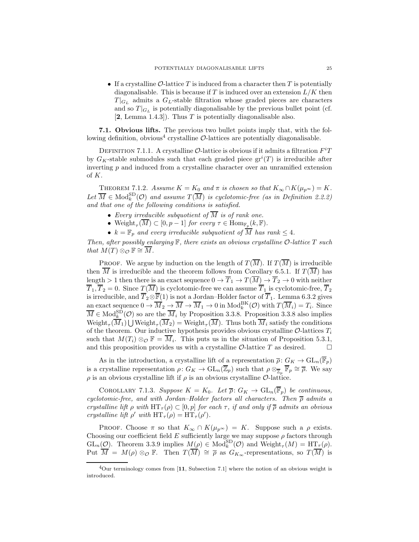• If a crystalline  $\mathcal{O}$ -lattice T is induced from a character then T is potentially diagonalisable. This is because if T is induced over an extension  $L/K$  then  $T|_{G_L}$  admits a  $G_L$ -stable filtration whose graded pieces are characters and so  $T|_{G_L}$  is potentially diagonalisable by the previous bullet point (cf.  $[2, \text{Lemma } 1.4.3]$  $[2, \text{Lemma } 1.4.3]$  $[2, \text{Lemma } 1.4.3]$ . Thus T is potentially diagonalisable also.

7.1. Obvious lifts. The previous two bullet points imply that, with the fol-lowing definition, obvious<sup>[4](#page-24-0)</sup> crystalline  $\mathcal{O}\text{-}$ lattices are potentially diagonalisable.

DEFINITION 7.1.1. A crystalline  $\mathcal{O}\text{-}$ lattice is obvious if it admits a filtration  $F^iT$ by  $G_K$ -stable submodules such that each graded piece  $gr<sup>i</sup>(T)$  is irreducible after inverting  $p$  and induced from a crystalline character over an unramified extension of K.

<span id="page-24-1"></span>THEOREM 7.1.2. Assume  $K = K_0$  and  $\pi$  is chosen so that  $K_{\infty} \cap K(\mu_{p^{\infty}}) = K$ . Let  $\overline{M} \in \text{Mod}_{k}^{SD}(\mathcal{O})$  and assume  $T(\overline{M})$  is cyclotomic-free (as in Definition [2.2.2\)](#page-4-4) and that one of the following conditions is satisfied.

- Every irreducible subquotient of  $\overline{M}$  is of rank one.
- Weight<sub> $\tau(\overline{M}) \subset [0, p-1]$  for every  $\tau \in \text{Hom}_{\mathbb{F}_p}(k, \mathbb{F})$ .</sub>
- $k = \mathbb{F}_p$  and every irreducible subquotient of  $\overline{M}$  has rank  $\leq 4$ .

Then, after possibly enlarging  $\mathbb F$ , there exists an obvious crystalline  $\mathcal O$ -lattice  $T$  such that  $M(T) \otimes_{\mathcal{O}} \mathbb{F} \cong \overline{M}$ .

PROOF. We argue by induction on the length of  $T(\overline{M})$ . If  $T(\overline{M})$  is irreducible then  $\overline{M}$  is irreducible and the theorem follows from Corollary [6.5.1.](#page-23-1) If  $T(\overline{M})$  has length  $> 1$  then there is an exact sequence  $0 \to \overline{T}_1 \to T(\overline{M}) \to \overline{T}_2 \to 0$  with neither  $\overline{T}_1, \overline{T}_2 = 0$ . Since  $T(\overline{M})$  is cyclotomic-free we can assume  $\overline{T}_1$  is cyclotomic-free,  $\overline{T}_2$ is irreducible, and  $\overline{T}_2 \otimes \overline{\mathbb{F}}(1)$  is not a Jordan–Holder factor of  $\overline{T}_1$ . Lemma [6.3.2](#page-20-0) gives an exact sequence  $0 \to \overline{M}_2 \to \overline{M} \to \overline{M}_1 \to 0$  in  $\text{Mod}_k^{\text{BK}}(\mathcal{O})$  with  $T(\overline{M}_i) = T_i$ . Since  $\overline{M} \in \text{Mod}_{k}^{\text{SD}}(\mathcal{O})$  so are the  $\overline{M}_{i}$  by Proposition [3.3.8.](#page-11-4) Proposition [3.3.8](#page-11-4) also implies  $\text{Weight}_{\tau}(\overline{M}_1) \bigcup \text{Weight}_{\tau}(\overline{M}_2) = \text{Weight}_{\tau}(\overline{M})$ . Thus both  $\overline{M}_i$  satisfy the conditions of the theorem. Our inductive hypothesis provides obvious crystalline  $\mathcal{O}\text{-lattices }T_i$ such that  $M(T_i) \otimes_{\mathcal{O}} \mathbb{F} = \overline{M_i}$ . This puts us in the situation of Proposition [5.3.1,](#page-16-2) and this proposition provides us with a crystalline  $\mathcal{O}$ -lattice T as desired.

As in the introduction, a crystalline lift of a representation  $\overline{\rho} \colon G_K \to \text{GL}_n(\overline{\mathbb{F}}_p)$ is a crystalline representation  $\rho: G_K \to \text{GL}_n(\overline{\mathbb{Z}}_p)$  such that  $\rho \otimes_{\overline{\mathbb{Z}}_p} \overline{\mathbb{F}}_p \cong \overline{\rho}$ . We say  $\rho$  is an obvious crystalline lift if  $\rho$  is an obvious crystalline  $\mathcal{O}\text{-lattice}$ .

COROLLARY 7.1.3. Suppose  $K = K_0$ . Let  $\overline{\rho} \colon G_K \to \text{GL}_n(\overline{\mathbb{F}}_p)$  be continuous, cyclotomic-free, and with Jordan–Holder factors all characters. Then  $\bar{\rho}$  admits a crystalline lift  $\rho$  with  $HT_{\tau}(\rho) \subset [0, p]$  for each  $\tau$ , if and only if  $\overline{\rho}$  admits an obvious crystalline lift  $\rho'$  with  $HT_{\tau}(\rho) = HT_{\tau}(\rho').$ 

PROOF. Choose  $\pi$  so that  $K_{\infty} \cap K(\mu_{n^{\infty}}) = K$ . Suppose such a  $\rho$  exists. Choosing our coefficient field  $E$  sufficiently large we may suppose  $\rho$  factors through  $GL_n(\mathcal{O})$ . Theorem [3.3.9](#page-11-1) implies  $M(\rho) \in Mod_k^{\text{SD}}(\mathcal{O})$  and  $Weight_\tau(M) = HT_\tau(\rho)$ . Put  $\overline{M} = M(\rho) \otimes_{\mathcal{O}} \mathbb{F}$ . Then  $T(\overline{M}) \cong \overline{\rho}$  as  $G_{K_{\infty}}$ -representations, so  $T(\overline{M})$  is

<span id="page-24-0"></span> ${}^{4}$ Our terminology comes from [[11](#page-25-11), Subsection 7.1] where the notion of an obvious weight is introduced.